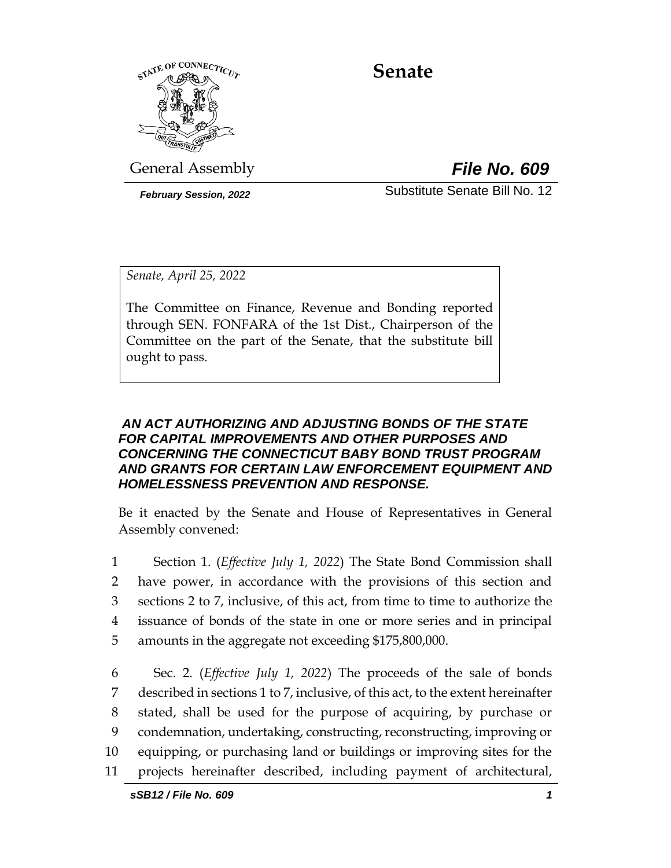

# **Senate**

General Assembly *File No. 609*

*February Session, 2022* Substitute Senate Bill No. 12

*Senate, April 25, 2022*

The Committee on Finance, Revenue and Bonding reported through SEN. FONFARA of the 1st Dist., Chairperson of the Committee on the part of the Senate, that the substitute bill ought to pass.

### *AN ACT AUTHORIZING AND ADJUSTING BONDS OF THE STATE FOR CAPITAL IMPROVEMENTS AND OTHER PURPOSES AND CONCERNING THE CONNECTICUT BABY BOND TRUST PROGRAM AND GRANTS FOR CERTAIN LAW ENFORCEMENT EQUIPMENT AND HOMELESSNESS PREVENTION AND RESPONSE.*

Be it enacted by the Senate and House of Representatives in General Assembly convened:

 Section 1. (*Effective July 1, 2022*) The State Bond Commission shall have power, in accordance with the provisions of this section and sections 2 to 7, inclusive, of this act, from time to time to authorize the issuance of bonds of the state in one or more series and in principal amounts in the aggregate not exceeding \$175,800,000.

 Sec. 2. (*Effective July 1, 2022*) The proceeds of the sale of bonds described in sections 1 to 7, inclusive, of this act, to the extent hereinafter stated, shall be used for the purpose of acquiring, by purchase or condemnation, undertaking, constructing, reconstructing, improving or equipping, or purchasing land or buildings or improving sites for the projects hereinafter described, including payment of architectural,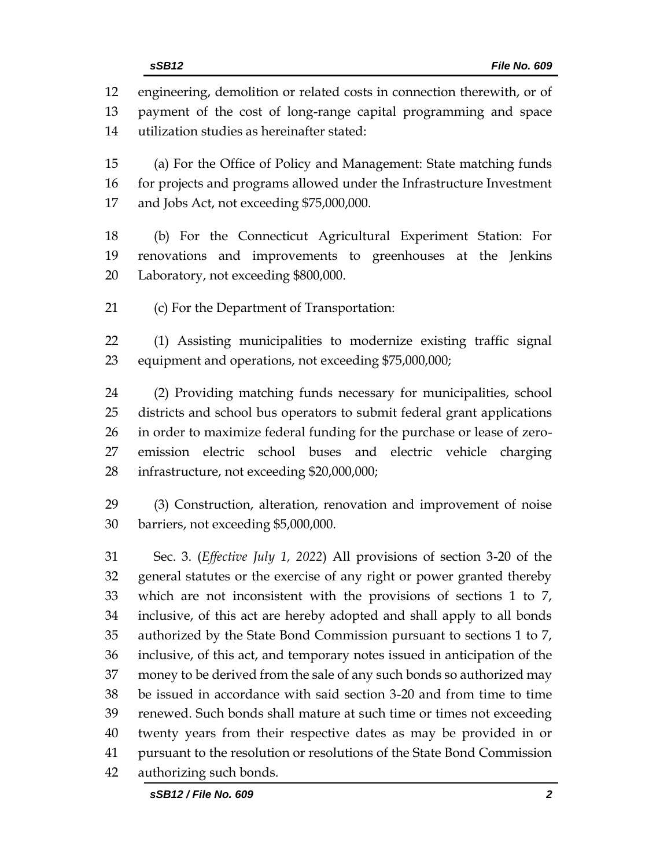engineering, demolition or related costs in connection therewith, or of payment of the cost of long-range capital programming and space utilization studies as hereinafter stated: (a) For the Office of Policy and Management: State matching funds 16 for projects and programs allowed under the Infrastructure Investment and Jobs Act, not exceeding \$75,000,000. (b) For the Connecticut Agricultural Experiment Station: For renovations and improvements to greenhouses at the Jenkins Laboratory, not exceeding \$800,000. (c) For the Department of Transportation: (1) Assisting municipalities to modernize existing traffic signal equipment and operations, not exceeding \$75,000,000; (2) Providing matching funds necessary for municipalities, school districts and school bus operators to submit federal grant applications in order to maximize federal funding for the purchase or lease of zero- emission electric school buses and electric vehicle charging infrastructure, not exceeding \$20,000,000; (3) Construction, alteration, renovation and improvement of noise barriers, not exceeding \$5,000,000. Sec. 3. (*Effective July 1, 2022*) All provisions of section 3-20 of the general statutes or the exercise of any right or power granted thereby which are not inconsistent with the provisions of sections 1 to 7, inclusive, of this act are hereby adopted and shall apply to all bonds authorized by the State Bond Commission pursuant to sections 1 to 7, inclusive, of this act, and temporary notes issued in anticipation of the money to be derived from the sale of any such bonds so authorized may be issued in accordance with said section 3-20 and from time to time renewed. Such bonds shall mature at such time or times not exceeding twenty years from their respective dates as may be provided in or pursuant to the resolution or resolutions of the State Bond Commission

authorizing such bonds.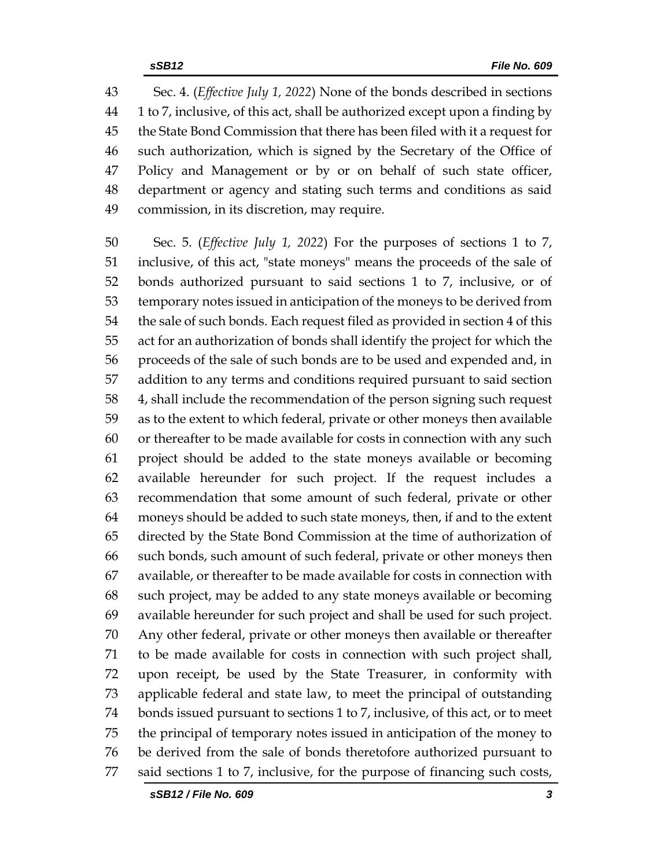Sec. 4. (*Effective July 1, 2022*) None of the bonds described in sections 1 to 7, inclusive, of this act, shall be authorized except upon a finding by the State Bond Commission that there has been filed with it a request for such authorization, which is signed by the Secretary of the Office of Policy and Management or by or on behalf of such state officer, department or agency and stating such terms and conditions as said commission, in its discretion, may require.

 Sec. 5. (*Effective July 1, 2022*) For the purposes of sections 1 to 7, inclusive, of this act, "state moneys" means the proceeds of the sale of bonds authorized pursuant to said sections 1 to 7, inclusive, or of temporary notes issued in anticipation of the moneys to be derived from the sale of such bonds. Each request filed as provided in section 4 of this act for an authorization of bonds shall identify the project for which the proceeds of the sale of such bonds are to be used and expended and, in addition to any terms and conditions required pursuant to said section 4, shall include the recommendation of the person signing such request as to the extent to which federal, private or other moneys then available or thereafter to be made available for costs in connection with any such project should be added to the state moneys available or becoming available hereunder for such project. If the request includes a recommendation that some amount of such federal, private or other moneys should be added to such state moneys, then, if and to the extent directed by the State Bond Commission at the time of authorization of such bonds, such amount of such federal, private or other moneys then available, or thereafter to be made available for costs in connection with such project, may be added to any state moneys available or becoming available hereunder for such project and shall be used for such project. Any other federal, private or other moneys then available or thereafter to be made available for costs in connection with such project shall, upon receipt, be used by the State Treasurer, in conformity with applicable federal and state law, to meet the principal of outstanding bonds issued pursuant to sections 1 to 7, inclusive, of this act, or to meet the principal of temporary notes issued in anticipation of the money to be derived from the sale of bonds theretofore authorized pursuant to said sections 1 to 7, inclusive, for the purpose of financing such costs,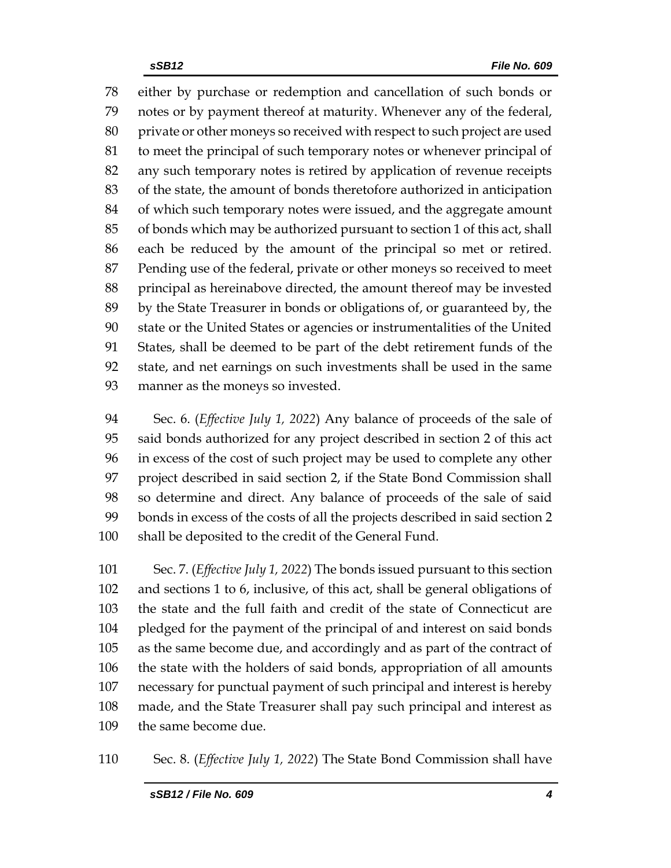either by purchase or redemption and cancellation of such bonds or notes or by payment thereof at maturity. Whenever any of the federal, private or other moneys so received with respect to such project are used to meet the principal of such temporary notes or whenever principal of any such temporary notes is retired by application of revenue receipts of the state, the amount of bonds theretofore authorized in anticipation of which such temporary notes were issued, and the aggregate amount of bonds which may be authorized pursuant to section 1 of this act, shall each be reduced by the amount of the principal so met or retired. Pending use of the federal, private or other moneys so received to meet principal as hereinabove directed, the amount thereof may be invested by the State Treasurer in bonds or obligations of, or guaranteed by, the state or the United States or agencies or instrumentalities of the United States, shall be deemed to be part of the debt retirement funds of the state, and net earnings on such investments shall be used in the same manner as the moneys so invested.

 Sec. 6. (*Effective July 1, 2022*) Any balance of proceeds of the sale of said bonds authorized for any project described in section 2 of this act in excess of the cost of such project may be used to complete any other project described in said section 2, if the State Bond Commission shall so determine and direct. Any balance of proceeds of the sale of said bonds in excess of the costs of all the projects described in said section 2 shall be deposited to the credit of the General Fund.

 Sec. 7. (*Effective July 1, 2022*) The bonds issued pursuant to this section and sections 1 to 6, inclusive, of this act, shall be general obligations of the state and the full faith and credit of the state of Connecticut are pledged for the payment of the principal of and interest on said bonds as the same become due, and accordingly and as part of the contract of the state with the holders of said bonds, appropriation of all amounts necessary for punctual payment of such principal and interest is hereby made, and the State Treasurer shall pay such principal and interest as the same become due.

Sec. 8. (*Effective July 1, 2022*) The State Bond Commission shall have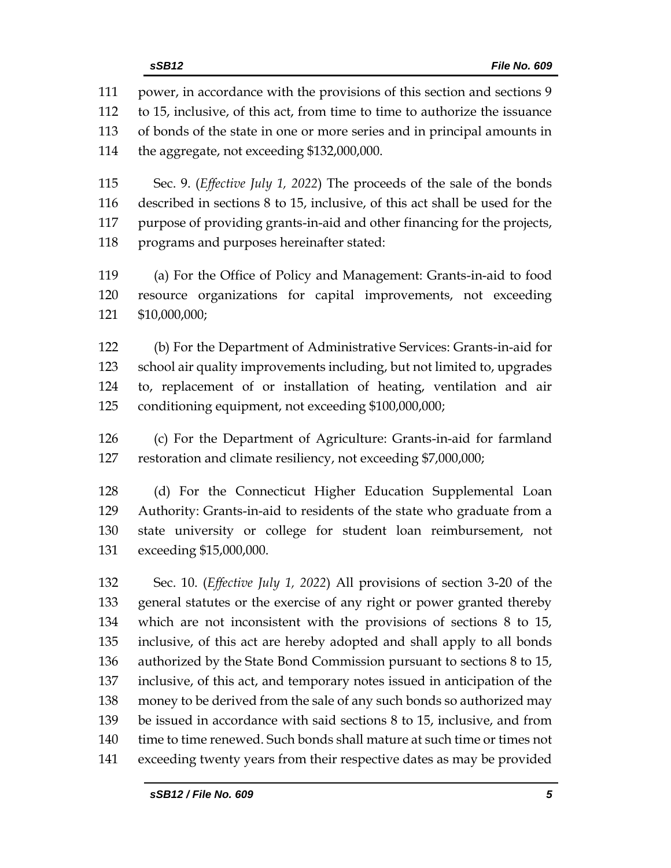power, in accordance with the provisions of this section and sections 9 to 15, inclusive, of this act, from time to time to authorize the issuance of bonds of the state in one or more series and in principal amounts in the aggregate, not exceeding \$132,000,000.

 Sec. 9. (*Effective July 1, 2022*) The proceeds of the sale of the bonds described in sections 8 to 15, inclusive, of this act shall be used for the purpose of providing grants-in-aid and other financing for the projects, programs and purposes hereinafter stated:

 (a) For the Office of Policy and Management: Grants-in-aid to food resource organizations for capital improvements, not exceeding \$10,000,000;

 (b) For the Department of Administrative Services: Grants-in-aid for school air quality improvements including, but not limited to, upgrades to, replacement of or installation of heating, ventilation and air conditioning equipment, not exceeding \$100,000,000;

 (c) For the Department of Agriculture: Grants-in-aid for farmland restoration and climate resiliency, not exceeding \$7,000,000;

 (d) For the Connecticut Higher Education Supplemental Loan Authority: Grants-in-aid to residents of the state who graduate from a state university or college for student loan reimbursement, not exceeding \$15,000,000.

 Sec. 10. (*Effective July 1, 2022*) All provisions of section 3-20 of the general statutes or the exercise of any right or power granted thereby which are not inconsistent with the provisions of sections 8 to 15, inclusive, of this act are hereby adopted and shall apply to all bonds authorized by the State Bond Commission pursuant to sections 8 to 15, inclusive, of this act, and temporary notes issued in anticipation of the money to be derived from the sale of any such bonds so authorized may be issued in accordance with said sections 8 to 15, inclusive, and from time to time renewed. Such bonds shall mature at such time or times not exceeding twenty years from their respective dates as may be provided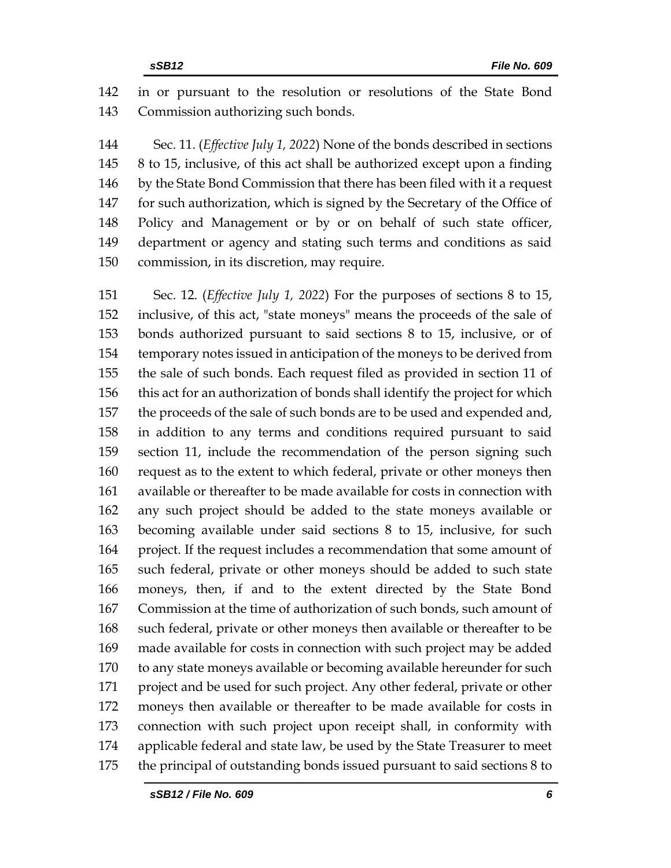in or pursuant to the resolution or resolutions of the State Bond Commission authorizing such bonds.

 Sec. 11. (*Effective July 1, 2022*) None of the bonds described in sections 8 to 15, inclusive, of this act shall be authorized except upon a finding by the State Bond Commission that there has been filed with it a request for such authorization, which is signed by the Secretary of the Office of Policy and Management or by or on behalf of such state officer, department or agency and stating such terms and conditions as said commission, in its discretion, may require.

 Sec. 12. (*Effective July 1, 2022*) For the purposes of sections 8 to 15, inclusive, of this act, "state moneys" means the proceeds of the sale of bonds authorized pursuant to said sections 8 to 15, inclusive, or of temporary notes issued in anticipation of the moneys to be derived from the sale of such bonds. Each request filed as provided in section 11 of this act for an authorization of bonds shall identify the project for which the proceeds of the sale of such bonds are to be used and expended and, in addition to any terms and conditions required pursuant to said section 11, include the recommendation of the person signing such request as to the extent to which federal, private or other moneys then available or thereafter to be made available for costs in connection with any such project should be added to the state moneys available or becoming available under said sections 8 to 15, inclusive, for such project. If the request includes a recommendation that some amount of such federal, private or other moneys should be added to such state moneys, then, if and to the extent directed by the State Bond Commission at the time of authorization of such bonds, such amount of such federal, private or other moneys then available or thereafter to be made available for costs in connection with such project may be added to any state moneys available or becoming available hereunder for such project and be used for such project. Any other federal, private or other moneys then available or thereafter to be made available for costs in connection with such project upon receipt shall, in conformity with applicable federal and state law, be used by the State Treasurer to meet the principal of outstanding bonds issued pursuant to said sections 8 to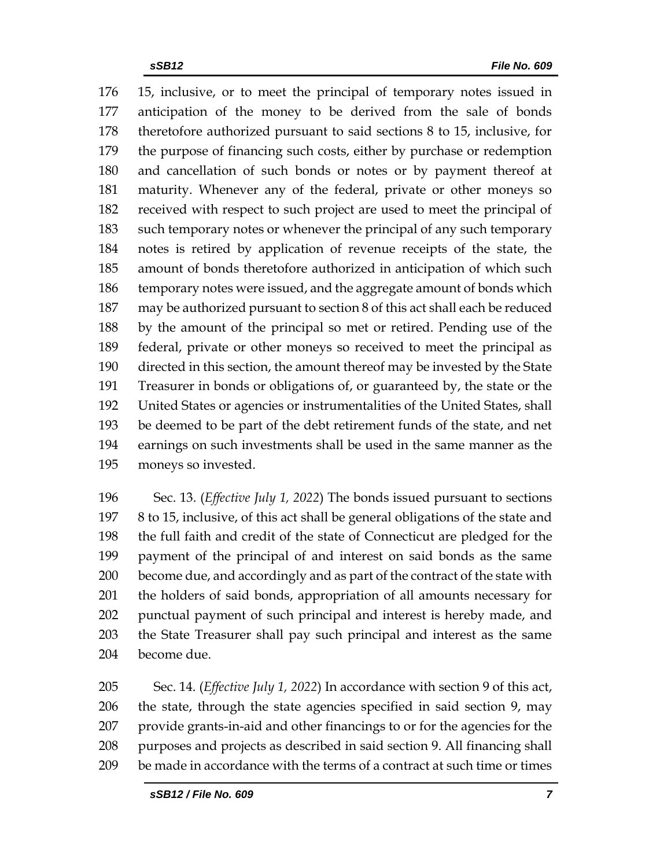15, inclusive, or to meet the principal of temporary notes issued in anticipation of the money to be derived from the sale of bonds theretofore authorized pursuant to said sections 8 to 15, inclusive, for the purpose of financing such costs, either by purchase or redemption and cancellation of such bonds or notes or by payment thereof at maturity. Whenever any of the federal, private or other moneys so received with respect to such project are used to meet the principal of such temporary notes or whenever the principal of any such temporary notes is retired by application of revenue receipts of the state, the amount of bonds theretofore authorized in anticipation of which such 186 temporary notes were issued, and the aggregate amount of bonds which may be authorized pursuant to section 8 of this act shall each be reduced by the amount of the principal so met or retired. Pending use of the federal, private or other moneys so received to meet the principal as directed in this section, the amount thereof may be invested by the State Treasurer in bonds or obligations of, or guaranteed by, the state or the United States or agencies or instrumentalities of the United States, shall be deemed to be part of the debt retirement funds of the state, and net earnings on such investments shall be used in the same manner as the moneys so invested.

 Sec. 13. (*Effective July 1, 2022*) The bonds issued pursuant to sections 8 to 15, inclusive, of this act shall be general obligations of the state and the full faith and credit of the state of Connecticut are pledged for the payment of the principal of and interest on said bonds as the same become due, and accordingly and as part of the contract of the state with the holders of said bonds, appropriation of all amounts necessary for punctual payment of such principal and interest is hereby made, and the State Treasurer shall pay such principal and interest as the same become due.

 Sec. 14. (*Effective July 1, 2022*) In accordance with section 9 of this act, the state, through the state agencies specified in said section 9, may provide grants-in-aid and other financings to or for the agencies for the purposes and projects as described in said section 9. All financing shall be made in accordance with the terms of a contract at such time or times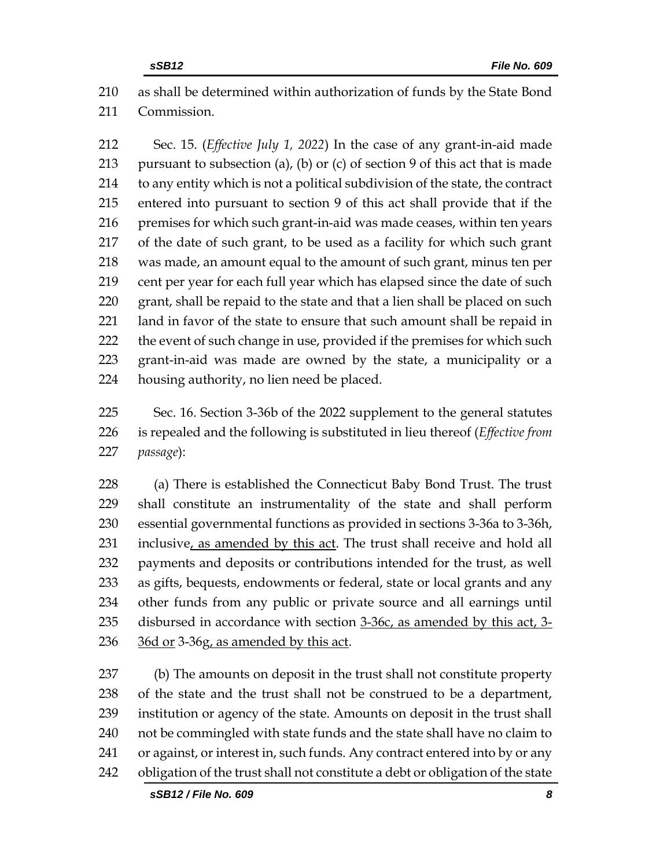as shall be determined within authorization of funds by the State Bond Commission.

 Sec. 15. (*Effective July 1, 2022*) In the case of any grant-in-aid made 213 pursuant to subsection (a), (b) or (c) of section 9 of this act that is made to any entity which is not a political subdivision of the state, the contract entered into pursuant to section 9 of this act shall provide that if the premises for which such grant-in-aid was made ceases, within ten years of the date of such grant, to be used as a facility for which such grant was made, an amount equal to the amount of such grant, minus ten per cent per year for each full year which has elapsed since the date of such 220 grant, shall be repaid to the state and that a lien shall be placed on such land in favor of the state to ensure that such amount shall be repaid in 222 the event of such change in use, provided if the premises for which such grant-in-aid was made are owned by the state, a municipality or a housing authority, no lien need be placed.

 Sec. 16. Section 3-36b of the 2022 supplement to the general statutes is repealed and the following is substituted in lieu thereof (*Effective from passage*):

 (a) There is established the Connecticut Baby Bond Trust. The trust shall constitute an instrumentality of the state and shall perform essential governmental functions as provided in sections 3-36a to 3-36h, 231 inclusive, as amended by this act. The trust shall receive and hold all payments and deposits or contributions intended for the trust, as well as gifts, bequests, endowments or federal, state or local grants and any other funds from any public or private source and all earnings until disbursed in accordance with section 3-36c, as amended by this act, 3- 36d or 3-36g, as amended by this act.

 (b) The amounts on deposit in the trust shall not constitute property of the state and the trust shall not be construed to be a department, institution or agency of the state. Amounts on deposit in the trust shall not be commingled with state funds and the state shall have no claim to or against, or interest in, such funds. Any contract entered into by or any 242 obligation of the trust shall not constitute a debt or obligation of the state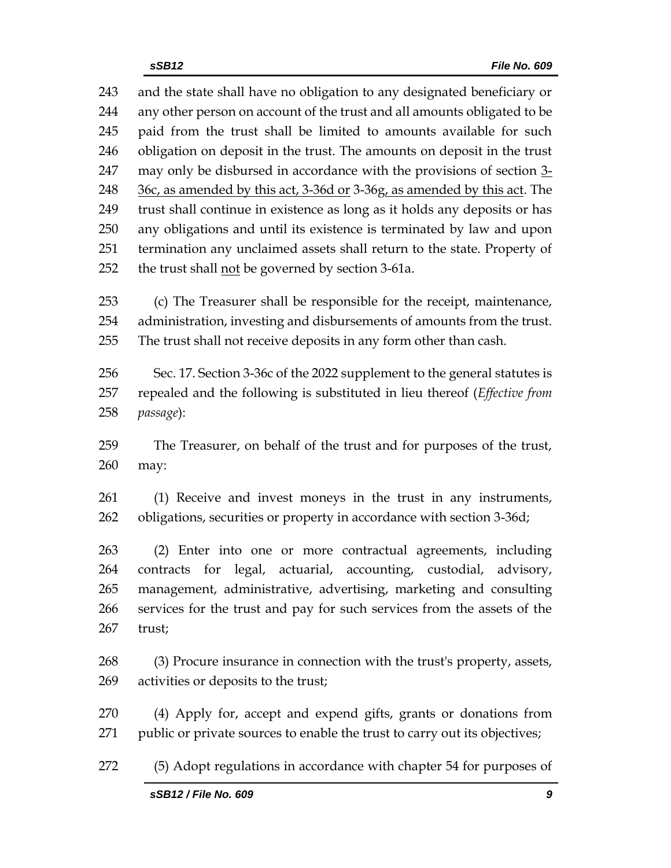and the state shall have no obligation to any designated beneficiary or any other person on account of the trust and all amounts obligated to be paid from the trust shall be limited to amounts available for such obligation on deposit in the trust. The amounts on deposit in the trust 247 may only be disbursed in accordance with the provisions of section 3-248 36c, as amended by this act, 3-36d or 3-36g, as amended by this act. The trust shall continue in existence as long as it holds any deposits or has any obligations and until its existence is terminated by law and upon termination any unclaimed assets shall return to the state. Property of 252 the trust shall not be governed by section 3-61a.

 (c) The Treasurer shall be responsible for the receipt, maintenance, administration, investing and disbursements of amounts from the trust. The trust shall not receive deposits in any form other than cash.

 Sec. 17. Section 3-36c of the 2022 supplement to the general statutes is repealed and the following is substituted in lieu thereof (*Effective from passage*):

 The Treasurer, on behalf of the trust and for purposes of the trust, may:

 (1) Receive and invest moneys in the trust in any instruments, obligations, securities or property in accordance with section 3-36d;

 (2) Enter into one or more contractual agreements, including contracts for legal, actuarial, accounting, custodial, advisory, management, administrative, advertising, marketing and consulting services for the trust and pay for such services from the assets of the trust;

 (3) Procure insurance in connection with the trust's property, assets, activities or deposits to the trust;

 (4) Apply for, accept and expend gifts, grants or donations from 271 public or private sources to enable the trust to carry out its objectives;

(5) Adopt regulations in accordance with chapter 54 for purposes of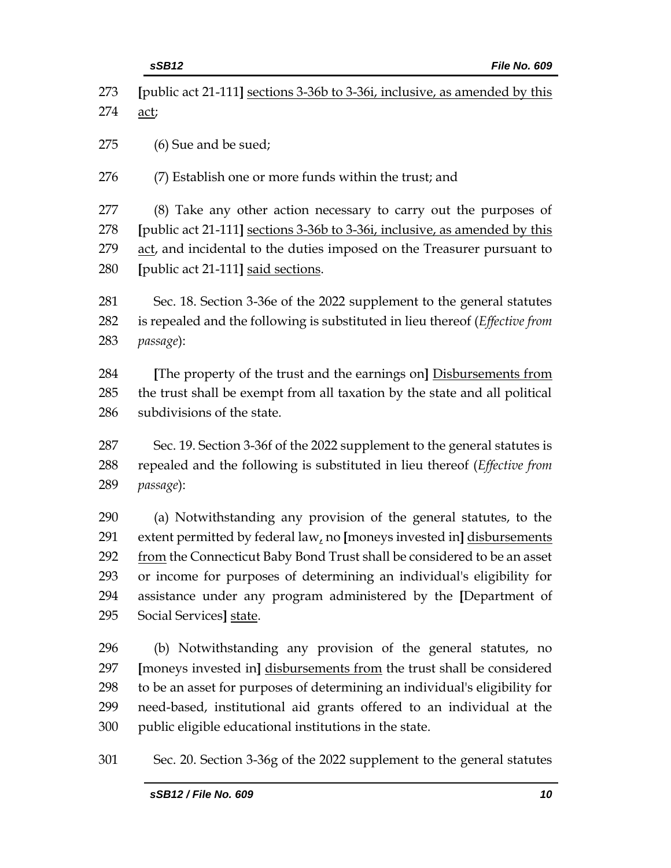**[**public act 21-111**]** sections 3-36b to 3-36i, inclusive, as amended by this act;

(6) Sue and be sued;

(7) Establish one or more funds within the trust; and

 (8) Take any other action necessary to carry out the purposes of **[**public act 21-111**]** sections 3-36b to 3-36i, inclusive, as amended by this act, and incidental to the duties imposed on the Treasurer pursuant to **[**public act 21-111**]** said sections.

 Sec. 18. Section 3-36e of the 2022 supplement to the general statutes is repealed and the following is substituted in lieu thereof (*Effective from passage*):

 **[**The property of the trust and the earnings on**]** Disbursements from the trust shall be exempt from all taxation by the state and all political subdivisions of the state.

 Sec. 19. Section 3-36f of the 2022 supplement to the general statutes is repealed and the following is substituted in lieu thereof (*Effective from passage*):

 (a) Notwithstanding any provision of the general statutes, to the extent permitted by federal law, no **[**moneys invested in**]** disbursements 292 from the Connecticut Baby Bond Trust shall be considered to be an asset or income for purposes of determining an individual's eligibility for assistance under any program administered by the **[**Department of Social Services**]** state.

 (b) Notwithstanding any provision of the general statutes, no **[**moneys invested in**]** disbursements from the trust shall be considered to be an asset for purposes of determining an individual's eligibility for need-based, institutional aid grants offered to an individual at the public eligible educational institutions in the state.

Sec. 20. Section 3-36g of the 2022 supplement to the general statutes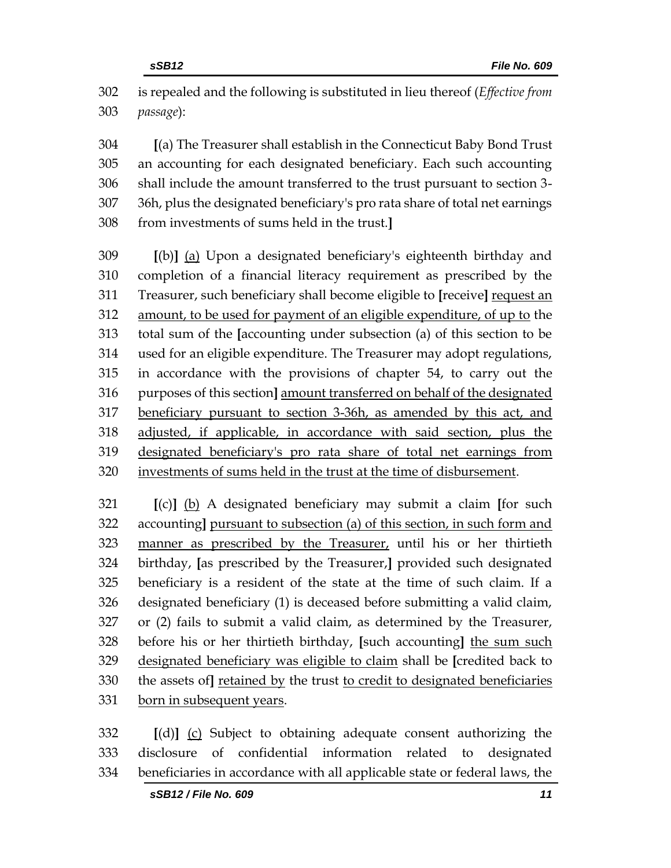is repealed and the following is substituted in lieu thereof (*Effective from passage*):

 **[**(a) The Treasurer shall establish in the Connecticut Baby Bond Trust an accounting for each designated beneficiary. Each such accounting shall include the amount transferred to the trust pursuant to section 3- 36h, plus the designated beneficiary's pro rata share of total net earnings from investments of sums held in the trust.**]**

 **[**(b)**]** (a) Upon a designated beneficiary's eighteenth birthday and completion of a financial literacy requirement as prescribed by the Treasurer, such beneficiary shall become eligible to **[**receive**]** request an amount, to be used for payment of an eligible expenditure, of up to the total sum of the **[**accounting under subsection (a) of this section to be used for an eligible expenditure. The Treasurer may adopt regulations, in accordance with the provisions of chapter 54, to carry out the purposes of this section**]** amount transferred on behalf of the designated beneficiary pursuant to section 3-36h, as amended by this act, and adjusted, if applicable, in accordance with said section, plus the designated beneficiary's pro rata share of total net earnings from investments of sums held in the trust at the time of disbursement.

 **[**(c)**]** (b) A designated beneficiary may submit a claim **[**for such accounting**]** pursuant to subsection (a) of this section, in such form and manner as prescribed by the Treasurer, until his or her thirtieth birthday, **[**as prescribed by the Treasurer,**]** provided such designated beneficiary is a resident of the state at the time of such claim. If a designated beneficiary (1) is deceased before submitting a valid claim, or (2) fails to submit a valid claim, as determined by the Treasurer, before his or her thirtieth birthday, **[**such accounting**]** the sum such designated beneficiary was eligible to claim shall be **[**credited back to the assets of**]** retained by the trust to credit to designated beneficiaries born in subsequent years.

 **[**(d)**]** (c) Subject to obtaining adequate consent authorizing the disclosure of confidential information related to designated beneficiaries in accordance with all applicable state or federal laws, the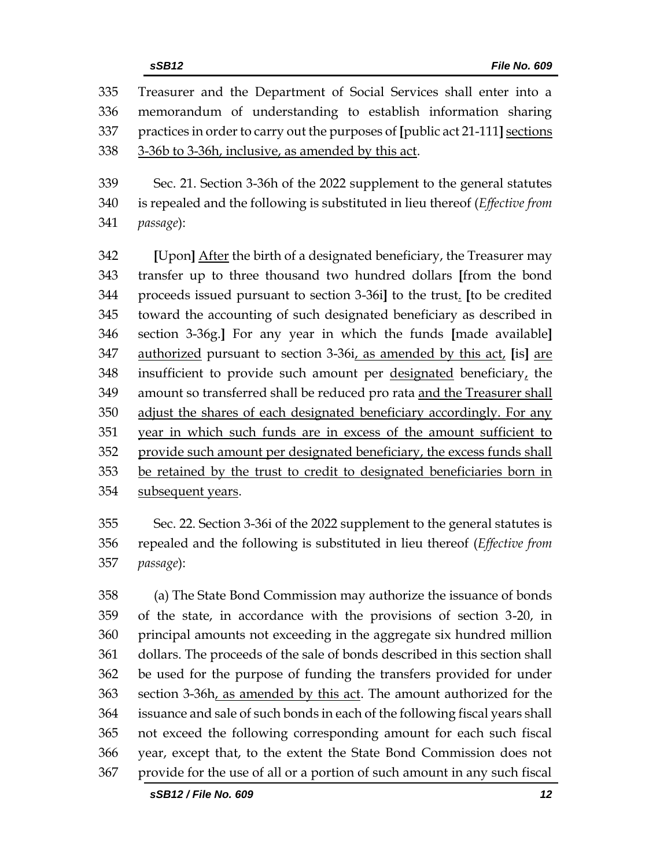Treasurer and the Department of Social Services shall enter into a memorandum of understanding to establish information sharing practices in order to carry out the purposes of **[**public act 21-111**]** sections 3-36b to 3-36h, inclusive, as amended by this act.

 Sec. 21. Section 3-36h of the 2022 supplement to the general statutes is repealed and the following is substituted in lieu thereof (*Effective from passage*):

 **[**Upon**]** After the birth of a designated beneficiary, the Treasurer may transfer up to three thousand two hundred dollars **[**from the bond proceeds issued pursuant to section 3-36i**]** to the trust. **[**to be credited toward the accounting of such designated beneficiary as described in section 3-36g.**]** For any year in which the funds **[**made available**]** authorized pursuant to section 3-36i, as amended by this act, **[**is**]** are 348 insufficient to provide such amount per designated beneficiary, the amount so transferred shall be reduced pro rata and the Treasurer shall adjust the shares of each designated beneficiary accordingly. For any year in which such funds are in excess of the amount sufficient to provide such amount per designated beneficiary, the excess funds shall be retained by the trust to credit to designated beneficiaries born in 354 subsequent years.

 Sec. 22. Section 3-36i of the 2022 supplement to the general statutes is repealed and the following is substituted in lieu thereof (*Effective from passage*):

 (a) The State Bond Commission may authorize the issuance of bonds of the state, in accordance with the provisions of section 3-20, in principal amounts not exceeding in the aggregate six hundred million dollars. The proceeds of the sale of bonds described in this section shall be used for the purpose of funding the transfers provided for under section 3-36h, as amended by this act. The amount authorized for the issuance and sale of such bonds in each of the following fiscal years shall not exceed the following corresponding amount for each such fiscal year, except that, to the extent the State Bond Commission does not provide for the use of all or a portion of such amount in any such fiscal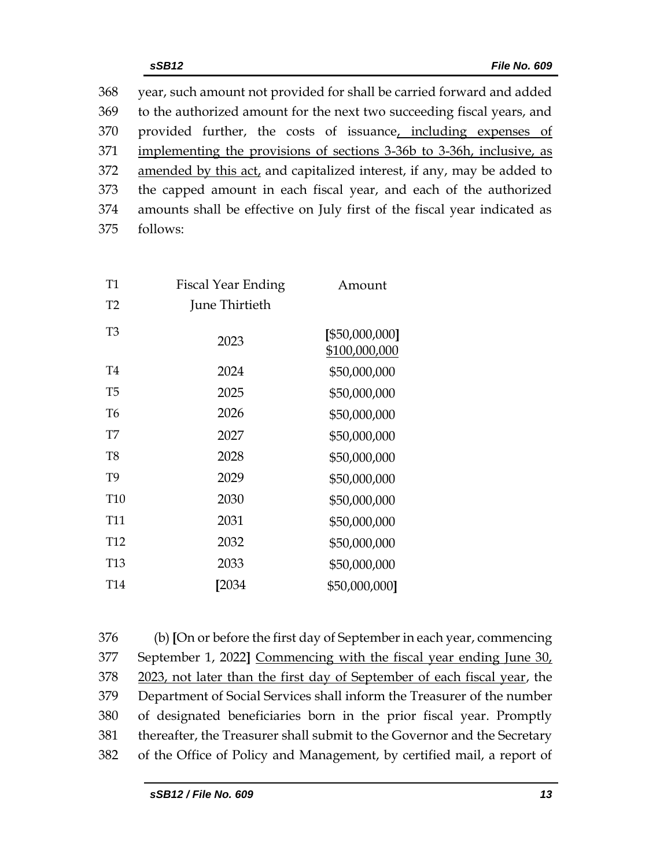year, such amount not provided for shall be carried forward and added to the authorized amount for the next two succeeding fiscal years, and provided further, the costs of issuance, including expenses of implementing the provisions of sections 3-36b to 3-36h, inclusive, as 372 amended by this act, and capitalized interest, if any, may be added to the capped amount in each fiscal year, and each of the authorized amounts shall be effective on July first of the fiscal year indicated as 375 follows:

| T1              | <b>Fiscal Year Ending</b> | Amount                          |
|-----------------|---------------------------|---------------------------------|
| T2              | June Thirtieth            |                                 |
| T3              | 2023                      | [\$50,000,000]<br>\$100,000,000 |
| T4              | 2024                      | \$50,000,000                    |
| T5              | 2025                      | \$50,000,000                    |
| T6              | 2026                      | \$50,000,000                    |
| T7              | 2027                      | \$50,000,000                    |
| T8              | 2028                      | \$50,000,000                    |
| T <sub>9</sub>  | 2029                      | \$50,000,000                    |
| <b>T10</b>      | 2030                      | \$50,000,000                    |
| T11             | 2031                      | \$50,000,000                    |
| T <sub>12</sub> | 2032                      | \$50,000,000                    |
| T <sub>13</sub> | 2033                      | \$50,000,000                    |
| T <sub>14</sub> | [2034                     | \$50,000,000]                   |

 (b) **[**On or before the first day of September in each year, commencing September 1, 2022**]** Commencing with the fiscal year ending June 30, 2023, not later than the first day of September of each fiscal year, the Department of Social Services shall inform the Treasurer of the number of designated beneficiaries born in the prior fiscal year. Promptly thereafter, the Treasurer shall submit to the Governor and the Secretary of the Office of Policy and Management, by certified mail, a report of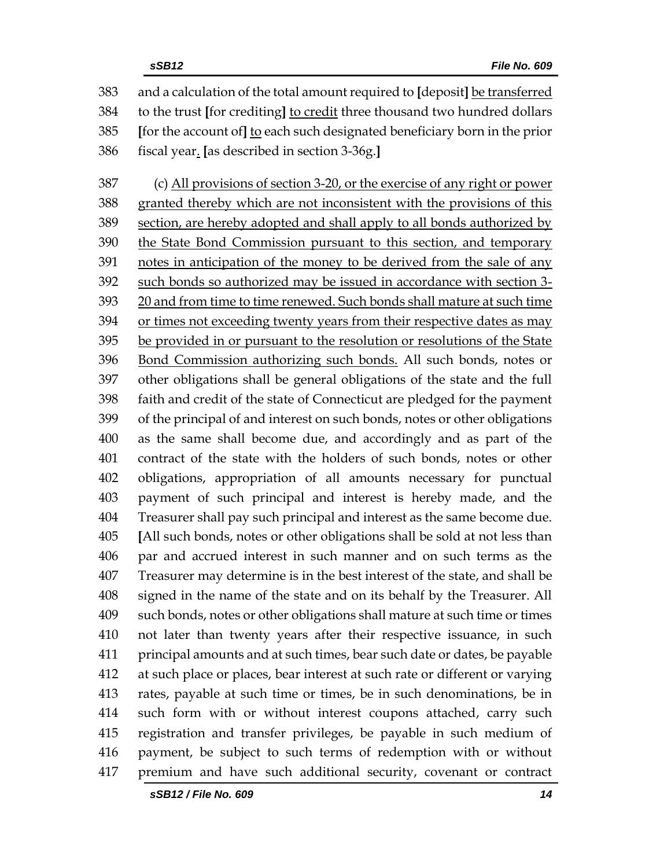| 383 | and a calculation of the total amount required to [deposit] be transferred  |
|-----|-----------------------------------------------------------------------------|
| 384 | to the trust [for crediting] to credit three thousand two hundred dollars   |
| 385 | [for the account of] to each such designated beneficiary born in the prior  |
| 386 | fiscal year. [as described in section 3-36g.]                               |
| 387 | (c) All provisions of section 3-20, or the exercise of any right or power   |
| 388 | granted thereby which are not inconsistent with the provisions of this      |
| 389 | section, are hereby adopted and shall apply to all bonds authorized by      |
| 390 | the State Bond Commission pursuant to this section, and temporary           |
| 391 | notes in anticipation of the money to be derived from the sale of any       |
| 392 | such bonds so authorized may be issued in accordance with section 3-        |
| 393 | 20 and from time to time renewed. Such bonds shall mature at such time      |
| 394 | or times not exceeding twenty years from their respective dates as may      |
| 395 | be provided in or pursuant to the resolution or resolutions of the State    |
| 396 | Bond Commission authorizing such bonds. All such bonds, notes or            |
| 397 | other obligations shall be general obligations of the state and the full    |
| 398 | faith and credit of the state of Connecticut are pledged for the payment    |
| 399 | of the principal of and interest on such bonds, notes or other obligations  |
| 400 | as the same shall become due, and accordingly and as part of the            |
| 401 | contract of the state with the holders of such bonds, notes or other        |
| 402 | obligations, appropriation of all amounts necessary for punctual            |
| 403 | payment of such principal and interest is hereby made, and the              |
| 404 | Treasurer shall pay such principal and interest as the same become due.     |
| 405 | [All such bonds, notes or other obligations shall be sold at not less than  |
| 406 | par and accrued interest in such manner and on such terms as the            |
| 407 | Treasurer may determine is in the best interest of the state, and shall be  |
| 408 | signed in the name of the state and on its behalf by the Treasurer. All     |
| 409 | such bonds, notes or other obligations shall mature at such time or times   |
| 410 | not later than twenty years after their respective issuance, in such        |
| 411 | principal amounts and at such times, bear such date or dates, be payable    |
| 412 | at such place or places, bear interest at such rate or different or varying |
| 413 | rates, payable at such time or times, be in such denominations, be in       |
| 414 | such form with or without interest coupons attached, carry such             |
| 415 | registration and transfer privileges, be payable in such medium of          |
| 416 | payment, be subject to such terms of redemption with or without             |
| 417 | premium and have such additional security, covenant or contract             |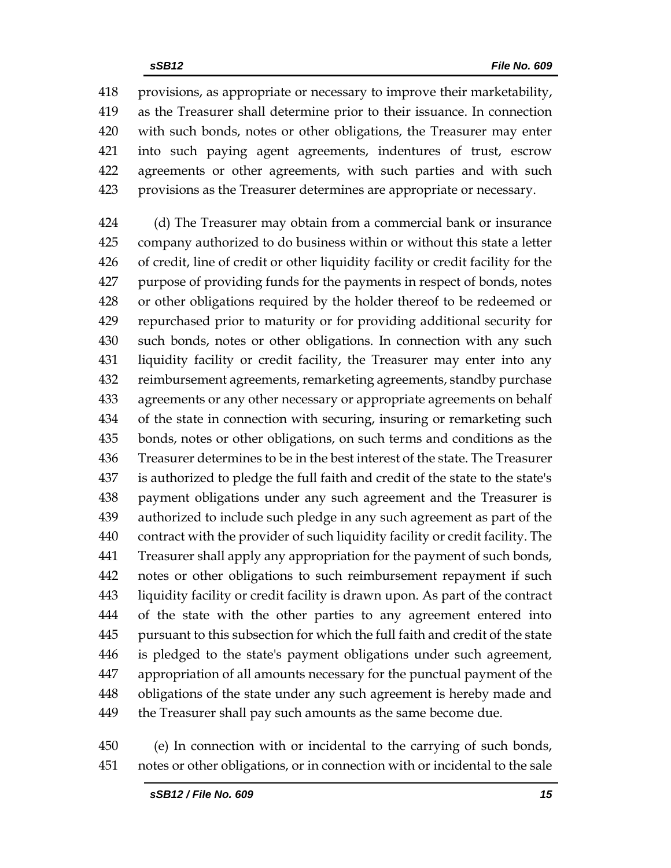provisions, as appropriate or necessary to improve their marketability, as the Treasurer shall determine prior to their issuance. In connection with such bonds, notes or other obligations, the Treasurer may enter into such paying agent agreements, indentures of trust, escrow agreements or other agreements, with such parties and with such provisions as the Treasurer determines are appropriate or necessary.

 (d) The Treasurer may obtain from a commercial bank or insurance company authorized to do business within or without this state a letter of credit, line of credit or other liquidity facility or credit facility for the purpose of providing funds for the payments in respect of bonds, notes or other obligations required by the holder thereof to be redeemed or repurchased prior to maturity or for providing additional security for such bonds, notes or other obligations. In connection with any such liquidity facility or credit facility, the Treasurer may enter into any reimbursement agreements, remarketing agreements, standby purchase agreements or any other necessary or appropriate agreements on behalf of the state in connection with securing, insuring or remarketing such bonds, notes or other obligations, on such terms and conditions as the Treasurer determines to be in the best interest of the state. The Treasurer is authorized to pledge the full faith and credit of the state to the state's payment obligations under any such agreement and the Treasurer is authorized to include such pledge in any such agreement as part of the contract with the provider of such liquidity facility or credit facility. The Treasurer shall apply any appropriation for the payment of such bonds, notes or other obligations to such reimbursement repayment if such liquidity facility or credit facility is drawn upon. As part of the contract of the state with the other parties to any agreement entered into pursuant to this subsection for which the full faith and credit of the state is pledged to the state's payment obligations under such agreement, appropriation of all amounts necessary for the punctual payment of the obligations of the state under any such agreement is hereby made and the Treasurer shall pay such amounts as the same become due.

 (e) In connection with or incidental to the carrying of such bonds, notes or other obligations, or in connection with or incidental to the sale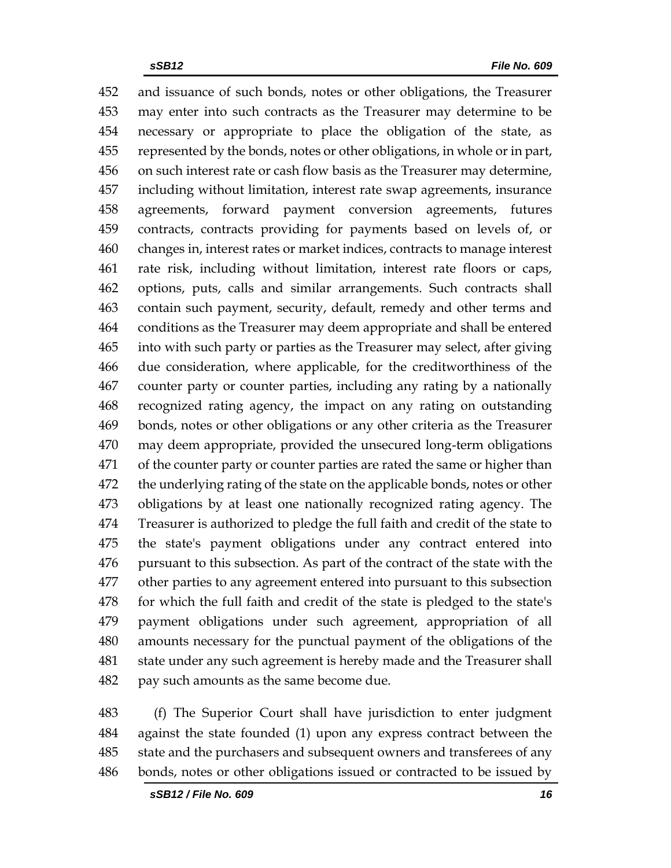and issuance of such bonds, notes or other obligations, the Treasurer may enter into such contracts as the Treasurer may determine to be necessary or appropriate to place the obligation of the state, as represented by the bonds, notes or other obligations, in whole or in part, on such interest rate or cash flow basis as the Treasurer may determine, including without limitation, interest rate swap agreements, insurance agreements, forward payment conversion agreements, futures contracts, contracts providing for payments based on levels of, or changes in, interest rates or market indices, contracts to manage interest rate risk, including without limitation, interest rate floors or caps, options, puts, calls and similar arrangements. Such contracts shall contain such payment, security, default, remedy and other terms and conditions as the Treasurer may deem appropriate and shall be entered into with such party or parties as the Treasurer may select, after giving due consideration, where applicable, for the creditworthiness of the counter party or counter parties, including any rating by a nationally recognized rating agency, the impact on any rating on outstanding bonds, notes or other obligations or any other criteria as the Treasurer may deem appropriate, provided the unsecured long-term obligations of the counter party or counter parties are rated the same or higher than the underlying rating of the state on the applicable bonds, notes or other obligations by at least one nationally recognized rating agency. The Treasurer is authorized to pledge the full faith and credit of the state to the state's payment obligations under any contract entered into pursuant to this subsection. As part of the contract of the state with the other parties to any agreement entered into pursuant to this subsection for which the full faith and credit of the state is pledged to the state's payment obligations under such agreement, appropriation of all amounts necessary for the punctual payment of the obligations of the state under any such agreement is hereby made and the Treasurer shall pay such amounts as the same become due.

 (f) The Superior Court shall have jurisdiction to enter judgment against the state founded (1) upon any express contract between the state and the purchasers and subsequent owners and transferees of any bonds, notes or other obligations issued or contracted to be issued by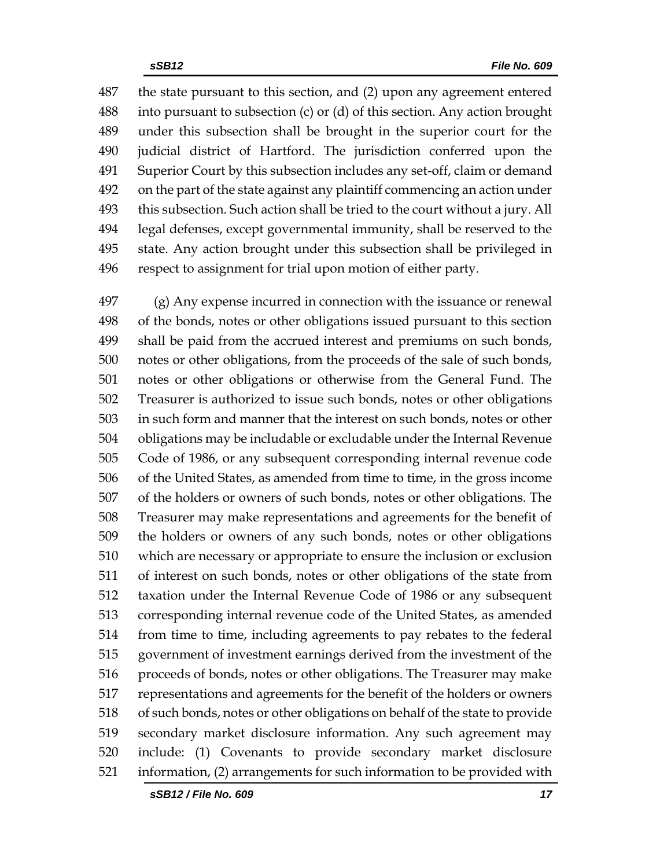the state pursuant to this section, and (2) upon any agreement entered into pursuant to subsection (c) or (d) of this section. Any action brought under this subsection shall be brought in the superior court for the judicial district of Hartford. The jurisdiction conferred upon the Superior Court by this subsection includes any set-off, claim or demand on the part of the state against any plaintiff commencing an action under this subsection. Such action shall be tried to the court without a jury. All legal defenses, except governmental immunity, shall be reserved to the state. Any action brought under this subsection shall be privileged in respect to assignment for trial upon motion of either party.

 (g) Any expense incurred in connection with the issuance or renewal of the bonds, notes or other obligations issued pursuant to this section shall be paid from the accrued interest and premiums on such bonds, notes or other obligations, from the proceeds of the sale of such bonds, notes or other obligations or otherwise from the General Fund. The Treasurer is authorized to issue such bonds, notes or other obligations in such form and manner that the interest on such bonds, notes or other obligations may be includable or excludable under the Internal Revenue Code of 1986, or any subsequent corresponding internal revenue code of the United States, as amended from time to time, in the gross income of the holders or owners of such bonds, notes or other obligations. The Treasurer may make representations and agreements for the benefit of the holders or owners of any such bonds, notes or other obligations which are necessary or appropriate to ensure the inclusion or exclusion of interest on such bonds, notes or other obligations of the state from taxation under the Internal Revenue Code of 1986 or any subsequent corresponding internal revenue code of the United States, as amended from time to time, including agreements to pay rebates to the federal government of investment earnings derived from the investment of the proceeds of bonds, notes or other obligations. The Treasurer may make representations and agreements for the benefit of the holders or owners of such bonds, notes or other obligations on behalf of the state to provide secondary market disclosure information. Any such agreement may include: (1) Covenants to provide secondary market disclosure information, (2) arrangements for such information to be provided with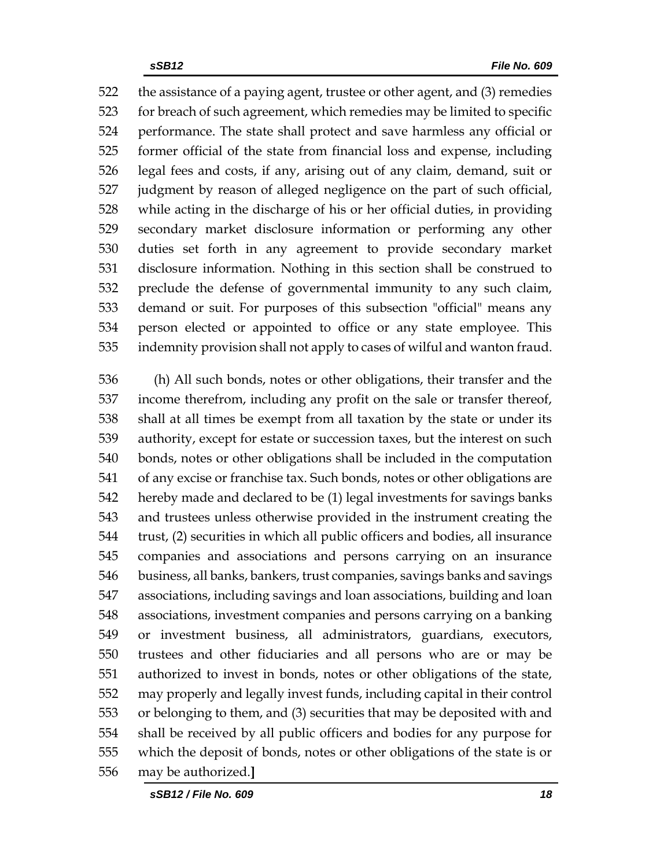the assistance of a paying agent, trustee or other agent, and (3) remedies for breach of such agreement, which remedies may be limited to specific performance. The state shall protect and save harmless any official or former official of the state from financial loss and expense, including legal fees and costs, if any, arising out of any claim, demand, suit or judgment by reason of alleged negligence on the part of such official, while acting in the discharge of his or her official duties, in providing secondary market disclosure information or performing any other duties set forth in any agreement to provide secondary market disclosure information. Nothing in this section shall be construed to preclude the defense of governmental immunity to any such claim, demand or suit. For purposes of this subsection "official" means any person elected or appointed to office or any state employee. This indemnity provision shall not apply to cases of wilful and wanton fraud.

 (h) All such bonds, notes or other obligations, their transfer and the income therefrom, including any profit on the sale or transfer thereof, shall at all times be exempt from all taxation by the state or under its authority, except for estate or succession taxes, but the interest on such bonds, notes or other obligations shall be included in the computation of any excise or franchise tax. Such bonds, notes or other obligations are hereby made and declared to be (1) legal investments for savings banks and trustees unless otherwise provided in the instrument creating the trust, (2) securities in which all public officers and bodies, all insurance companies and associations and persons carrying on an insurance business, all banks, bankers, trust companies, savings banks and savings associations, including savings and loan associations, building and loan associations, investment companies and persons carrying on a banking or investment business, all administrators, guardians, executors, trustees and other fiduciaries and all persons who are or may be authorized to invest in bonds, notes or other obligations of the state, may properly and legally invest funds, including capital in their control or belonging to them, and (3) securities that may be deposited with and shall be received by all public officers and bodies for any purpose for which the deposit of bonds, notes or other obligations of the state is or may be authorized.**]**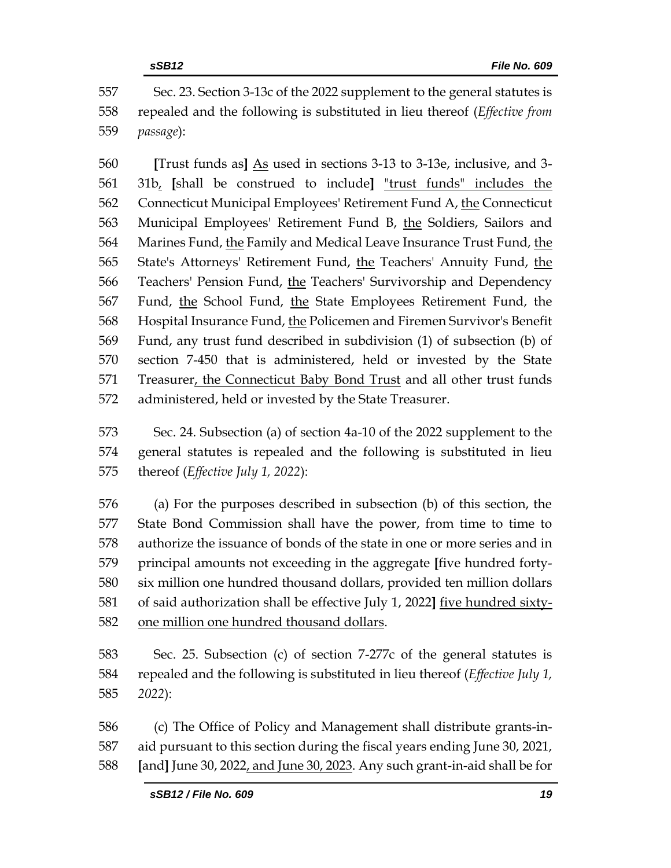Sec. 23. Section 3-13c of the 2022 supplement to the general statutes is repealed and the following is substituted in lieu thereof (*Effective from passage*):

 **[**Trust funds as**]** As used in sections 3-13 to 3-13e, inclusive, and 3- 31b, **[**shall be construed to include**]** "trust funds" includes the 562 Connecticut Municipal Employees' Retirement Fund A, the Connecticut Municipal Employees' Retirement Fund B, the Soldiers, Sailors and Marines Fund, the Family and Medical Leave Insurance Trust Fund, the State's Attorneys' Retirement Fund, the Teachers' Annuity Fund, the Teachers' Pension Fund, the Teachers' Survivorship and Dependency Fund, the School Fund, the State Employees Retirement Fund, the Hospital Insurance Fund, the Policemen and Firemen Survivor's Benefit Fund, any trust fund described in subdivision (1) of subsection (b) of section 7-450 that is administered, held or invested by the State Treasurer, the Connecticut Baby Bond Trust and all other trust funds administered, held or invested by the State Treasurer.

 Sec. 24. Subsection (a) of section 4a-10 of the 2022 supplement to the general statutes is repealed and the following is substituted in lieu thereof (*Effective July 1, 2022*):

 (a) For the purposes described in subsection (b) of this section, the State Bond Commission shall have the power, from time to time to authorize the issuance of bonds of the state in one or more series and in principal amounts not exceeding in the aggregate **[**five hundred forty- six million one hundred thousand dollars, provided ten million dollars of said authorization shall be effective July 1, 2022**]** five hundred sixty-one million one hundred thousand dollars.

 Sec. 25. Subsection (c) of section 7-277c of the general statutes is repealed and the following is substituted in lieu thereof (*Effective July 1, 2022*):

 (c) The Office of Policy and Management shall distribute grants-in- aid pursuant to this section during the fiscal years ending June 30, 2021, **[**and**]** June 30, 2022, and June 30, 2023. Any such grant-in-aid shall be for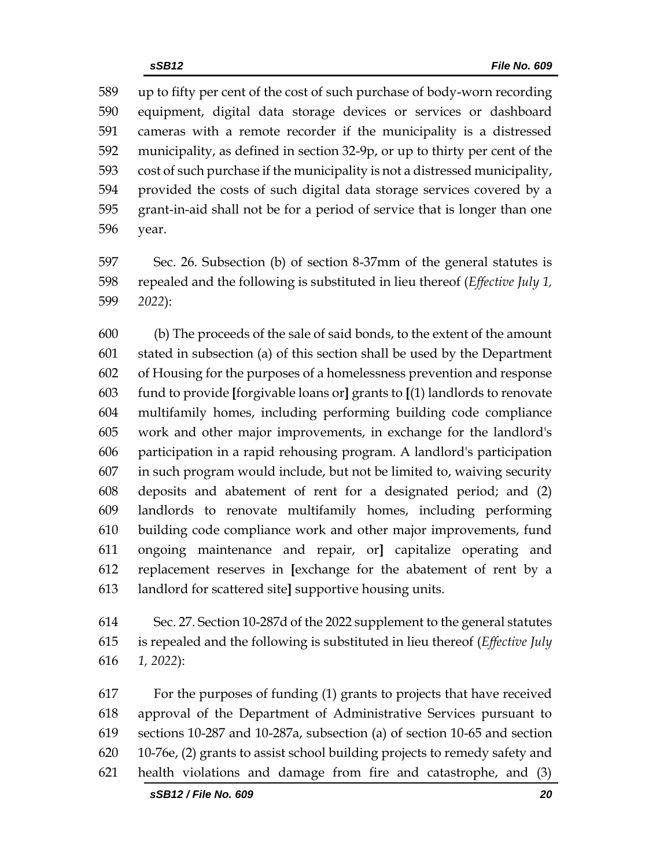up to fifty per cent of the cost of such purchase of body-worn recording equipment, digital data storage devices or services or dashboard cameras with a remote recorder if the municipality is a distressed municipality, as defined in section 32-9p, or up to thirty per cent of the cost of such purchase if the municipality is not a distressed municipality, provided the costs of such digital data storage services covered by a grant-in-aid shall not be for a period of service that is longer than one year.

 Sec. 26. Subsection (b) of section 8-37mm of the general statutes is repealed and the following is substituted in lieu thereof (*Effective July 1, 2022*):

 (b) The proceeds of the sale of said bonds, to the extent of the amount stated in subsection (a) of this section shall be used by the Department of Housing for the purposes of a homelessness prevention and response fund to provide **[**forgivable loans or**]** grants to **[**(1) landlords to renovate multifamily homes, including performing building code compliance work and other major improvements, in exchange for the landlord's participation in a rapid rehousing program. A landlord's participation in such program would include, but not be limited to, waiving security deposits and abatement of rent for a designated period; and (2) landlords to renovate multifamily homes, including performing building code compliance work and other major improvements, fund ongoing maintenance and repair, or**]** capitalize operating and replacement reserves in **[**exchange for the abatement of rent by a landlord for scattered site**]** supportive housing units.

 Sec. 27. Section 10-287d of the 2022 supplement to the general statutes is repealed and the following is substituted in lieu thereof (*Effective July 1, 2022*):

 For the purposes of funding (1) grants to projects that have received approval of the Department of Administrative Services pursuant to sections 10-287 and 10-287a, subsection (a) of section 10-65 and section 10-76e, (2) grants to assist school building projects to remedy safety and health violations and damage from fire and catastrophe, and (3)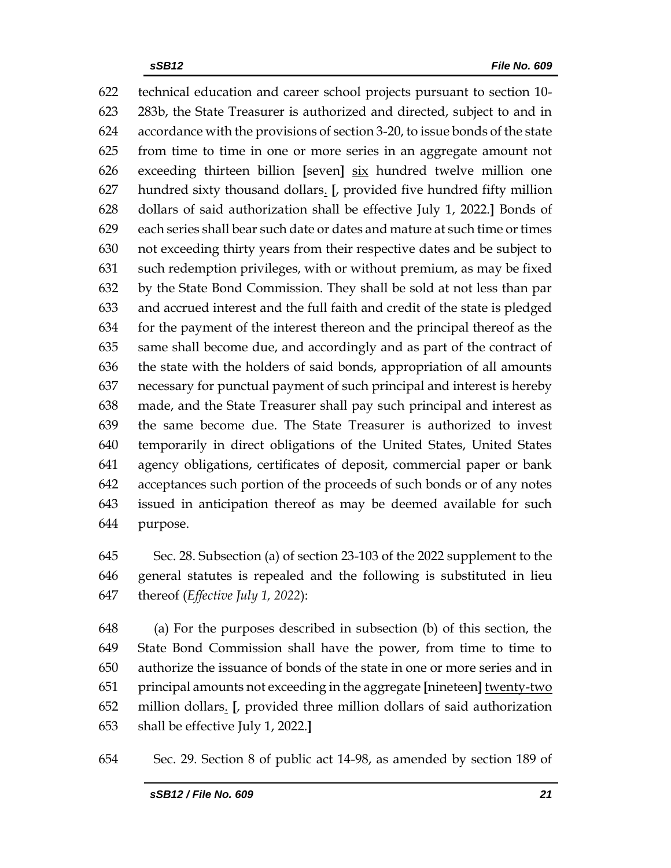technical education and career school projects pursuant to section 10- 283b, the State Treasurer is authorized and directed, subject to and in accordance with the provisions of section 3-20, to issue bonds of the state from time to time in one or more series in an aggregate amount not exceeding thirteen billion **[**seven**]** six hundred twelve million one hundred sixty thousand dollars. **[**, provided five hundred fifty million dollars of said authorization shall be effective July 1, 2022.**]** Bonds of each series shall bear such date or dates and mature at such time or times not exceeding thirty years from their respective dates and be subject to such redemption privileges, with or without premium, as may be fixed by the State Bond Commission. They shall be sold at not less than par and accrued interest and the full faith and credit of the state is pledged for the payment of the interest thereon and the principal thereof as the same shall become due, and accordingly and as part of the contract of the state with the holders of said bonds, appropriation of all amounts necessary for punctual payment of such principal and interest is hereby made, and the State Treasurer shall pay such principal and interest as the same become due. The State Treasurer is authorized to invest temporarily in direct obligations of the United States, United States agency obligations, certificates of deposit, commercial paper or bank acceptances such portion of the proceeds of such bonds or of any notes issued in anticipation thereof as may be deemed available for such purpose.

 Sec. 28. Subsection (a) of section 23-103 of the 2022 supplement to the general statutes is repealed and the following is substituted in lieu thereof (*Effective July 1, 2022*):

 (a) For the purposes described in subsection (b) of this section, the State Bond Commission shall have the power, from time to time to authorize the issuance of bonds of the state in one or more series and in principal amounts not exceeding in the aggregate **[**nineteen**]** twenty-two million dollars. **[**, provided three million dollars of said authorization shall be effective July 1, 2022.**]**

Sec. 29. Section 8 of public act 14-98, as amended by section 189 of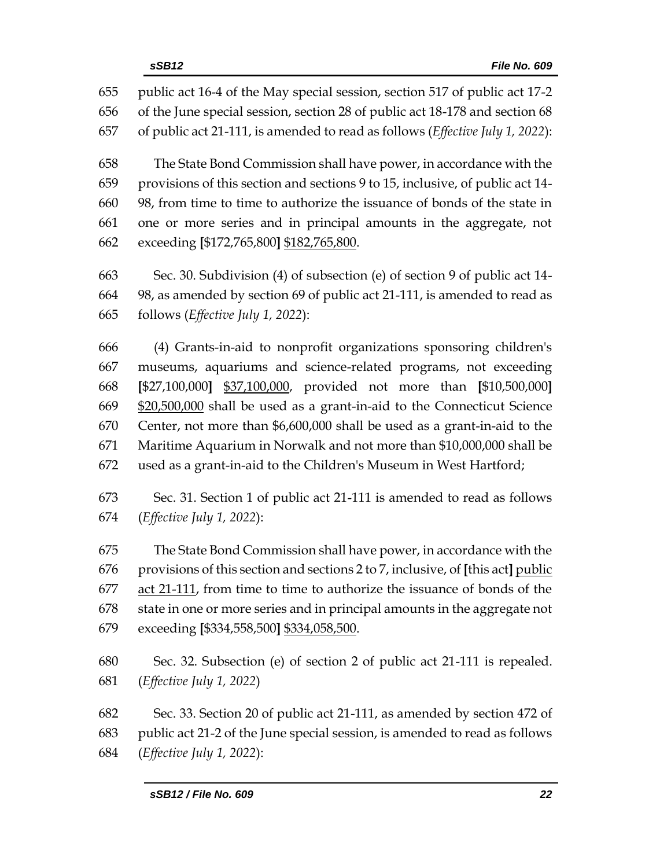public act 16-4 of the May special session, section 517 of public act 17-2 of the June special session, section 28 of public act 18-178 and section 68 of public act 21-111, is amended to read as follows (*Effective July 1, 2022*): The State Bond Commission shall have power, in accordance with the provisions of this section and sections 9 to 15, inclusive, of public act 14- 98, from time to time to authorize the issuance of bonds of the state in one or more series and in principal amounts in the aggregate, not exceeding **[**\$172,765,800**]** \$182,765,800. Sec. 30. Subdivision (4) of subsection (e) of section 9 of public act 14- 98, as amended by section 69 of public act 21-111, is amended to read as follows (*Effective July 1, 2022*):

 (4) Grants-in-aid to nonprofit organizations sponsoring children's museums, aquariums and science-related programs, not exceeding **[**\$27,100,000**]** \$37,100,000, provided not more than **[**\$10,500,000**]** \$20,500,000 shall be used as a grant-in-aid to the Connecticut Science Center, not more than \$6,600,000 shall be used as a grant-in-aid to the Maritime Aquarium in Norwalk and not more than \$10,000,000 shall be used as a grant-in-aid to the Children's Museum in West Hartford;

 Sec. 31. Section 1 of public act 21-111 is amended to read as follows (*Effective July 1, 2022*):

 The State Bond Commission shall have power, in accordance with the provisions of this section and sections 2 to 7, inclusive, of **[**this act**]** public act 21-111, from time to time to authorize the issuance of bonds of the state in one or more series and in principal amounts in the aggregate not exceeding **[**\$334,558,500**]** \$334,058,500.

 Sec. 32. Subsection (e) of section 2 of public act 21-111 is repealed. (*Effective July 1, 2022*)

 Sec. 33. Section 20 of public act 21-111, as amended by section 472 of public act 21-2 of the June special session, is amended to read as follows (*Effective July 1, 2022*):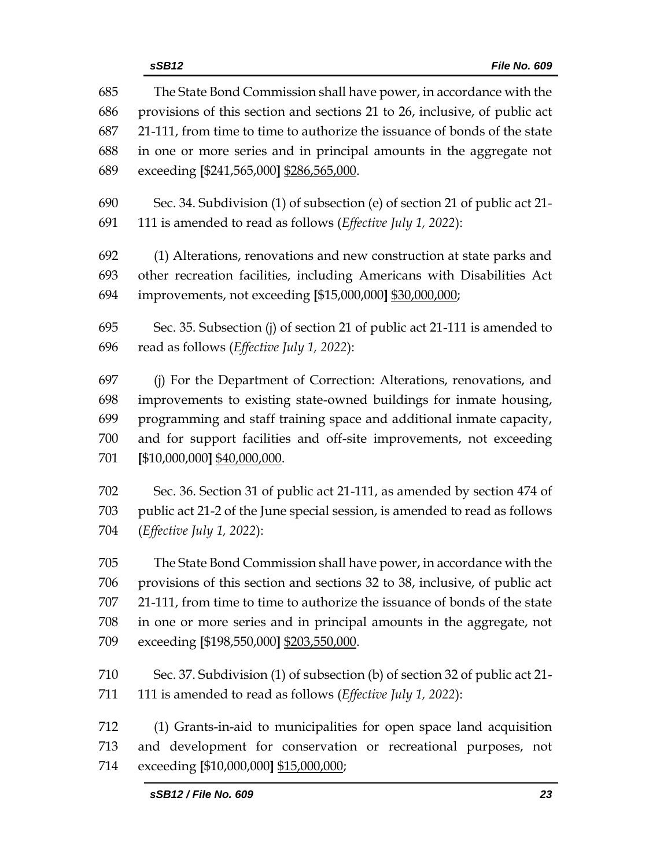|     | File No. 609<br>sSB12                                                      |
|-----|----------------------------------------------------------------------------|
| 685 | The State Bond Commission shall have power, in accordance with the         |
| 686 | provisions of this section and sections 21 to 26, inclusive, of public act |
| 687 | 21-111, from time to time to authorize the issuance of bonds of the state  |
| 688 | in one or more series and in principal amounts in the aggregate not        |
| 689 | exceeding [\$241,565,000] \$286,565,000.                                   |
| 690 | Sec. 34. Subdivision (1) of subsection (e) of section 21 of public act 21- |
| 691 | 111 is amended to read as follows ( <i>Effective July 1</i> , 2022):       |
| 692 | (1) Alterations, renovations and new construction at state parks and       |
| 693 | other recreation facilities, including Americans with Disabilities Act     |
| 694 | improvements, not exceeding [\$15,000,000] \$30,000,000;                   |
| 695 | Sec. 35. Subsection (j) of section 21 of public act 21-111 is amended to   |
| 696 | read as follows (Effective July 1, 2022):                                  |
| 697 | (j) For the Department of Correction: Alterations, renovations, and        |
| 698 | improvements to existing state-owned buildings for inmate housing,         |
| 699 | programming and staff training space and additional inmate capacity,       |
| 700 | and for support facilities and off-site improvements, not exceeding        |
| 701 | [\$10,000,000] \$40,000,000.                                               |
| 702 | Sec. 36. Section 31 of public act 21-111, as amended by section 474 of     |
| 703 | public act 21-2 of the June special session, is amended to read as follows |
| 704 | ( <i>Effective July 1, 2022</i> ):                                         |
| 705 | The State Bond Commission shall have power, in accordance with the         |
| 706 | provisions of this section and sections 32 to 38, inclusive, of public act |
| 707 | 21-111, from time to time to authorize the issuance of bonds of the state  |
| 708 | in one or more series and in principal amounts in the aggregate, not       |
| 709 | exceeding [\$198,550,000] \$203,550,000.                                   |
| 710 | Sec. 37. Subdivision (1) of subsection (b) of section 32 of public act 21- |
| 711 | 111 is amended to read as follows (Effective July 1, 2022):                |
| 712 | (1) Grants-in-aid to municipalities for open space land acquisition        |
| 713 | and development for conservation or recreational purposes, not             |
| 714 | exceeding [\$10,000,000] \$15,000,000;                                     |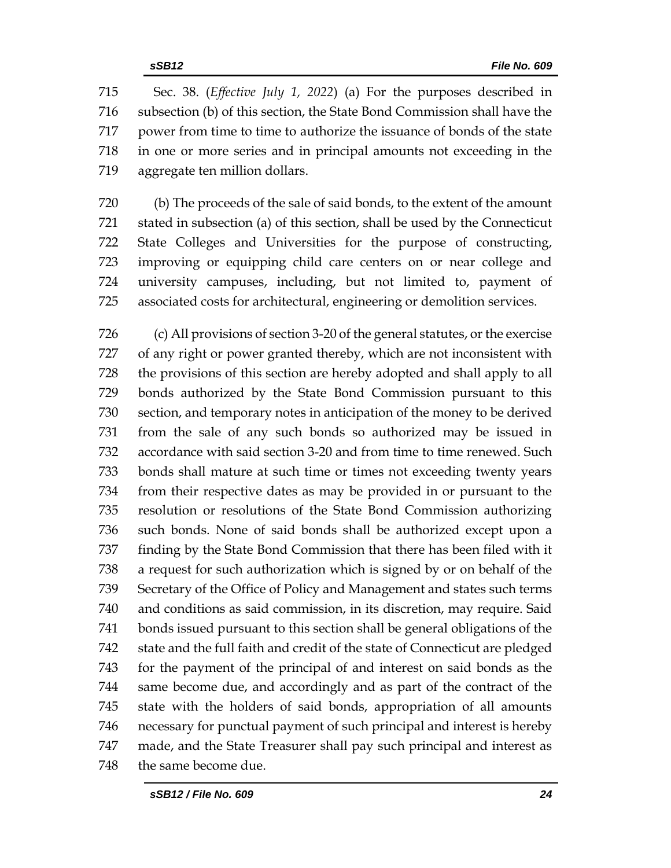Sec. 38. (*Effective July 1, 2022*) (a) For the purposes described in subsection (b) of this section, the State Bond Commission shall have the power from time to time to authorize the issuance of bonds of the state in one or more series and in principal amounts not exceeding in the aggregate ten million dollars.

 (b) The proceeds of the sale of said bonds, to the extent of the amount stated in subsection (a) of this section, shall be used by the Connecticut State Colleges and Universities for the purpose of constructing, improving or equipping child care centers on or near college and university campuses, including, but not limited to, payment of associated costs for architectural, engineering or demolition services.

 (c) All provisions of section 3-20 of the general statutes, or the exercise of any right or power granted thereby, which are not inconsistent with the provisions of this section are hereby adopted and shall apply to all bonds authorized by the State Bond Commission pursuant to this section, and temporary notes in anticipation of the money to be derived from the sale of any such bonds so authorized may be issued in accordance with said section 3-20 and from time to time renewed. Such bonds shall mature at such time or times not exceeding twenty years from their respective dates as may be provided in or pursuant to the resolution or resolutions of the State Bond Commission authorizing such bonds. None of said bonds shall be authorized except upon a finding by the State Bond Commission that there has been filed with it a request for such authorization which is signed by or on behalf of the Secretary of the Office of Policy and Management and states such terms and conditions as said commission, in its discretion, may require. Said bonds issued pursuant to this section shall be general obligations of the state and the full faith and credit of the state of Connecticut are pledged for the payment of the principal of and interest on said bonds as the same become due, and accordingly and as part of the contract of the state with the holders of said bonds, appropriation of all amounts necessary for punctual payment of such principal and interest is hereby made, and the State Treasurer shall pay such principal and interest as the same become due.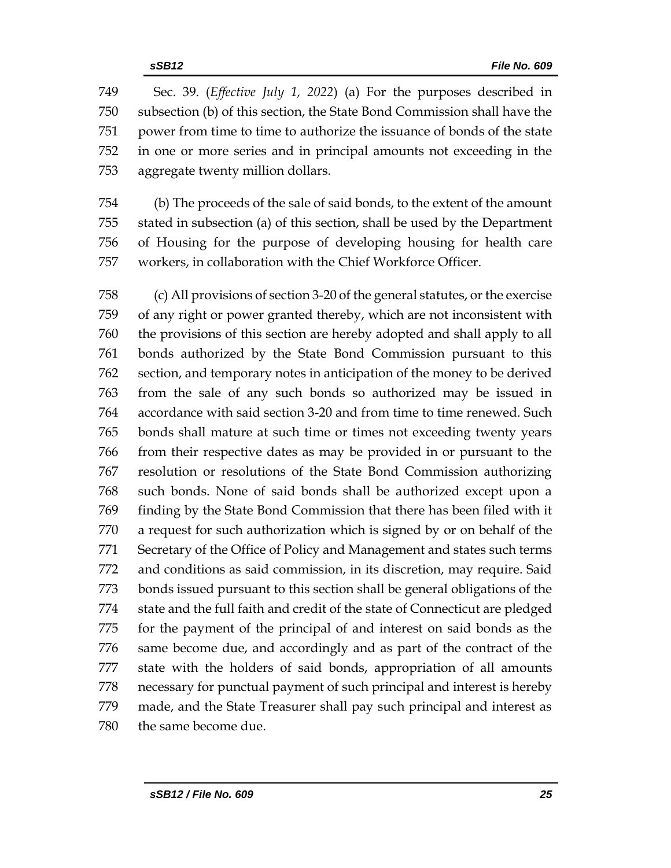Sec. 39. (*Effective July 1, 2022*) (a) For the purposes described in subsection (b) of this section, the State Bond Commission shall have the power from time to time to authorize the issuance of bonds of the state in one or more series and in principal amounts not exceeding in the aggregate twenty million dollars.

 (b) The proceeds of the sale of said bonds, to the extent of the amount stated in subsection (a) of this section, shall be used by the Department of Housing for the purpose of developing housing for health care workers, in collaboration with the Chief Workforce Officer.

 (c) All provisions of section 3-20 of the general statutes, or the exercise of any right or power granted thereby, which are not inconsistent with the provisions of this section are hereby adopted and shall apply to all bonds authorized by the State Bond Commission pursuant to this section, and temporary notes in anticipation of the money to be derived from the sale of any such bonds so authorized may be issued in accordance with said section 3-20 and from time to time renewed. Such bonds shall mature at such time or times not exceeding twenty years from their respective dates as may be provided in or pursuant to the resolution or resolutions of the State Bond Commission authorizing such bonds. None of said bonds shall be authorized except upon a finding by the State Bond Commission that there has been filed with it a request for such authorization which is signed by or on behalf of the Secretary of the Office of Policy and Management and states such terms and conditions as said commission, in its discretion, may require. Said bonds issued pursuant to this section shall be general obligations of the state and the full faith and credit of the state of Connecticut are pledged for the payment of the principal of and interest on said bonds as the same become due, and accordingly and as part of the contract of the state with the holders of said bonds, appropriation of all amounts necessary for punctual payment of such principal and interest is hereby made, and the State Treasurer shall pay such principal and interest as the same become due.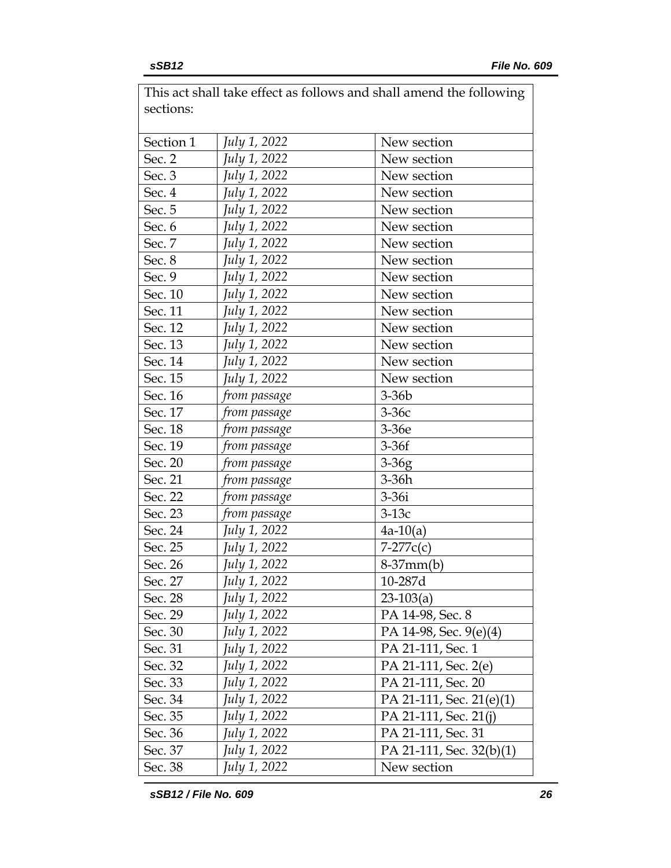| sections: |              | This act shall take effect as follows and shall amend the following |
|-----------|--------------|---------------------------------------------------------------------|
| Section 1 | July 1, 2022 | New section                                                         |
| Sec. 2    | July 1, 2022 | New section                                                         |
| Sec. 3    | July 1, 2022 | New section                                                         |
| Sec. 4    | July 1, 2022 | New section                                                         |
| Sec. 5    | July 1, 2022 | New section                                                         |
| Sec. 6    | July 1, 2022 | New section                                                         |
| Sec. 7    | July 1, 2022 | New section                                                         |
| Sec. 8    | July 1, 2022 | New section                                                         |
| Sec. 9    | July 1, 2022 | New section                                                         |
| Sec. 10   | July 1, 2022 | New section                                                         |
| Sec. 11   | July 1, 2022 | New section                                                         |
| Sec. 12   | July 1, 2022 | New section                                                         |
| Sec. 13   | July 1, 2022 | New section                                                         |
| Sec. 14   | July 1, 2022 | New section                                                         |
| Sec. 15   | July 1, 2022 | New section                                                         |
| Sec. 16   | from passage | $3-36b$                                                             |
| Sec. 17   | from passage | $3-36c$                                                             |
| Sec. 18   | from passage | 3-36e                                                               |
| Sec. 19   | from passage | $3-36f$                                                             |
| Sec. 20   | from passage | $3-36g$                                                             |
| Sec. 21   | from passage | $3-36h$                                                             |
| Sec. 22   | from passage | $3-36i$                                                             |
| Sec. 23   | from passage | $3-13c$                                                             |
| Sec. 24   | July 1, 2022 | $4a-10(a)$                                                          |
| Sec. 25   | July 1, 2022 | $7-277c(c)$                                                         |
| Sec. 26   | July 1, 2022 | $8-37mm(b)$                                                         |
| Sec. 27   | July 1, 2022 | 10-287d                                                             |
| Sec. 28   | July 1, 2022 | $23-103(a)$                                                         |
| Sec. 29   | July 1, 2022 | PA 14-98, Sec. 8                                                    |
| Sec. 30   | July 1, 2022 | PA 14-98, Sec. 9(e)(4)                                              |
| Sec. 31   | July 1, 2022 | PA 21-111, Sec. 1                                                   |
| Sec. 32   | July 1, 2022 | PA 21-111, Sec. 2(e)                                                |
| Sec. 33   | July 1, 2022 | PA 21-111, Sec. 20                                                  |
| Sec. 34   | July 1, 2022 | PA 21-111, Sec. 21(e)(1)                                            |
| Sec. 35   | July 1, 2022 | PA 21-111, Sec. 21(j)                                               |
| Sec. 36   | July 1, 2022 | PA 21-111, Sec. 31                                                  |
| Sec. 37   | July 1, 2022 | PA 21-111, Sec. $32(b)(1)$                                          |
| Sec. 38   | July 1, 2022 | New section                                                         |

 $\overline{\phantom{a}}$  This act shall take effect as follows and shall amend the following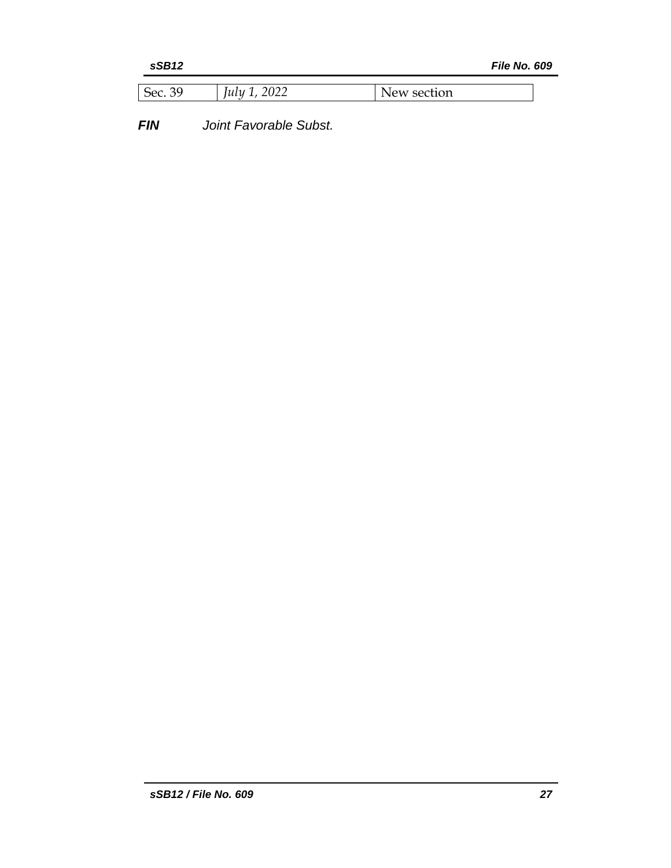*File No. 609* 

| 2022<br>1111<br>∼∽<br>ulu<br>2022 | section<br>W. |
|-----------------------------------|---------------|
|-----------------------------------|---------------|

*FIN Joint Favorable Subst.*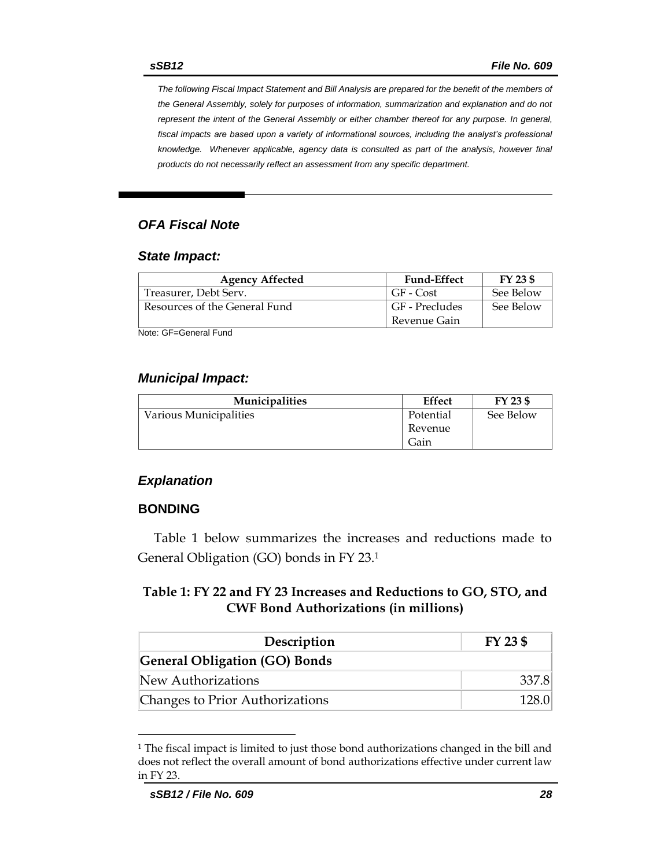*The following Fiscal Impact Statement and Bill Analysis are prepared for the benefit of the members of the General Assembly, solely for purposes of information, summarization and explanation and do not represent the intent of the General Assembly or either chamber thereof for any purpose. In general,*  fiscal impacts are based upon a variety of informational sources, including the analyst's professional *knowledge. Whenever applicable, agency data is consulted as part of the analysis, however final products do not necessarily reflect an assessment from any specific department.*

### *OFA Fiscal Note*

#### *State Impact:*

| <b>Agency Affected</b>        | <b>Fund-Effect</b> | $FY$ 23 \$ |
|-------------------------------|--------------------|------------|
| Treasurer, Debt Serv.         | GF - Cost          | See Below  |
| Resources of the General Fund | GF - Precludes     | See Below  |
|                               | Revenue Gain       |            |

Note: GF=General Fund

#### *Municipal Impact:*

| <b>Municipalities</b>  | <b>Effect</b> | FY 23 \$  |
|------------------------|---------------|-----------|
| Various Municipalities | Potential     | See Below |
|                        | Revenue       |           |
|                        | Gain          |           |

#### *Explanation*

#### **BONDING**

Table 1 below summarizes the increases and reductions made to General Obligation (GO) bonds in FY 23. 1

#### **Table 1: FY 22 and FY 23 Increases and Reductions to GO, STO, and CWF Bond Authorizations (in millions)**

| Description                          | FY 23 \$ |  |
|--------------------------------------|----------|--|
| <b>General Obligation (GO) Bonds</b> |          |  |
| New Authorizations                   | 337.8    |  |
| Changes to Prior Authorizations      | 128 OI   |  |

<sup>&</sup>lt;sup>1</sup> The fiscal impact is limited to just those bond authorizations changed in the bill and does not reflect the overall amount of bond authorizations effective under current law in FY 23.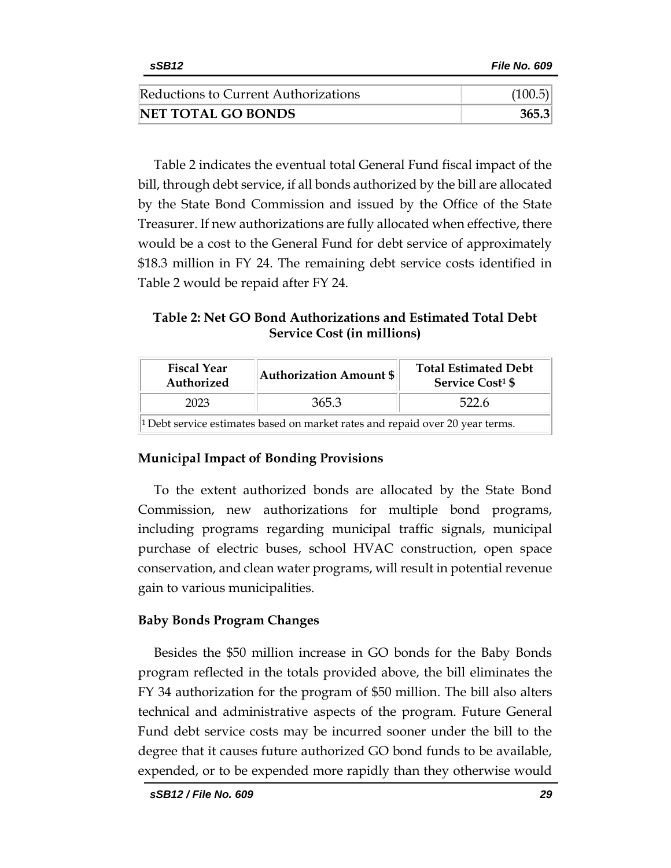| Reductions to Current Authorizations | (100.5) |
|--------------------------------------|---------|
| <b>NET TOTAL GO BONDS</b>            | 365.3   |

Table 2 indicates the eventual total General Fund fiscal impact of the bill, through debt service, if all bonds authorized by the bill are allocated by the State Bond Commission and issued by the Office of the State Treasurer. If new authorizations are fully allocated when effective, there would be a cost to the General Fund for debt service of approximately \$18.3 million in FY 24. The remaining debt service costs identified in Table 2 would be repaid after FY 24.

**Table 2: Net GO Bond Authorizations and Estimated Total Debt Service Cost (in millions)**

| <b>Fiscal Year</b><br>Authorized                                                         | <b>Authorization Amount \$</b> | <b>Total Estimated Debt</b><br><b>Service Cost<sup>1</sup> \$</b> |  |
|------------------------------------------------------------------------------------------|--------------------------------|-------------------------------------------------------------------|--|
| 2023                                                                                     | 365.3                          | 522.6                                                             |  |
| <sup>1</sup> Debt service estimates based on market rates and repaid over 20 year terms. |                                |                                                                   |  |

#### **Municipal Impact of Bonding Provisions**

To the extent authorized bonds are allocated by the State Bond Commission, new authorizations for multiple bond programs, including programs regarding municipal traffic signals, municipal purchase of electric buses, school HVAC construction, open space conservation, and clean water programs, will result in potential revenue gain to various municipalities.

#### **Baby Bonds Program Changes**

Besides the \$50 million increase in GO bonds for the Baby Bonds program reflected in the totals provided above, the bill eliminates the FY 34 authorization for the program of \$50 million. The bill also alters technical and administrative aspects of the program. Future General Fund debt service costs may be incurred sooner under the bill to the degree that it causes future authorized GO bond funds to be available, expended, or to be expended more rapidly than they otherwise would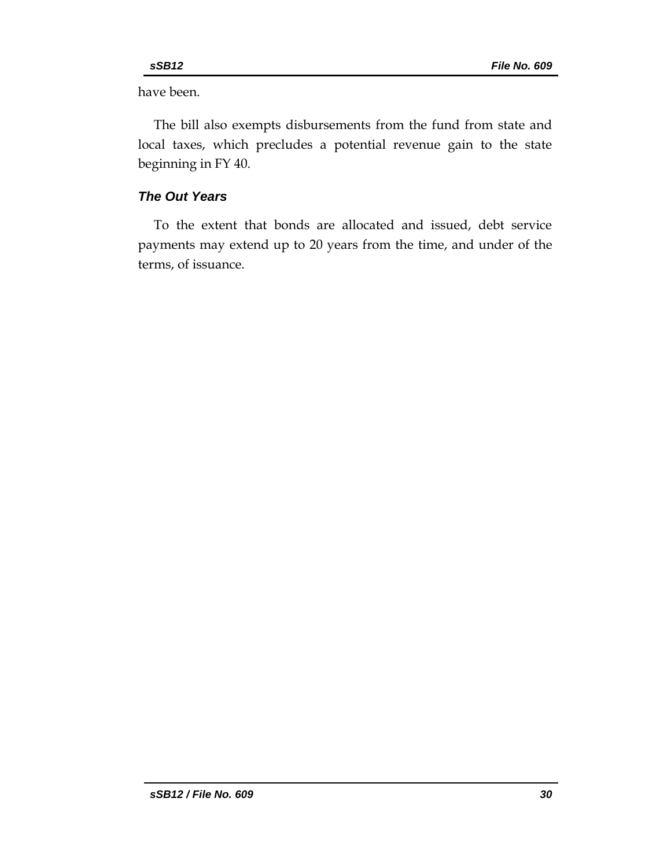have been.

The bill also exempts disbursements from the fund from state and local taxes, which precludes a potential revenue gain to the state beginning in FY 40.

### *The Out Years*

To the extent that bonds are allocated and issued, debt service payments may extend up to 20 years from the time, and under of the terms, of issuance.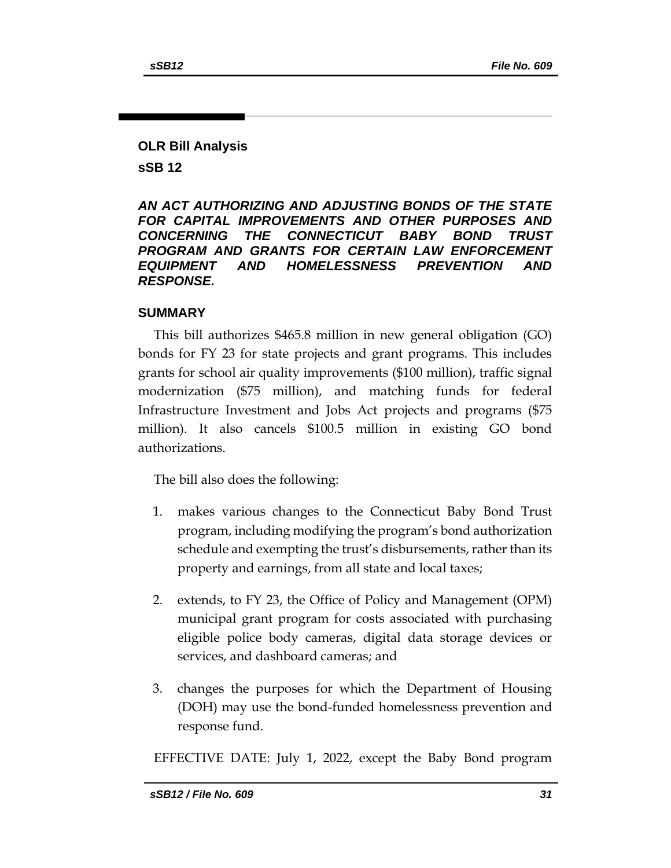### **OLR Bill Analysis sSB 12**

*AN ACT AUTHORIZING AND ADJUSTING BONDS OF THE STATE FOR CAPITAL IMPROVEMENTS AND OTHER PURPOSES AND CONCERNING THE CONNECTICUT BABY BOND TRUST PROGRAM AND GRANTS FOR CERTAIN LAW ENFORCEMENT EQUIPMENT AND HOMELESSNESS PREVENTION AND RESPONSE.* 

#### **SUMMARY**

This bill authorizes \$465.8 million in new general obligation (GO) bonds for FY 23 for state projects and grant programs. This includes grants for school air quality improvements (\$100 million), traffic signal modernization (\$75 million), and matching funds for federal Infrastructure Investment and Jobs Act projects and programs (\$75 million). It also cancels \$100.5 million in existing GO bond authorizations.

The bill also does the following:

- 1. makes various changes to the Connecticut Baby Bond Trust program, including modifying the program's bond authorization schedule and exempting the trust's disbursements, rather than its property and earnings, from all state and local taxes;
- 2. extends, to FY 23, the Office of Policy and Management (OPM) municipal grant program for costs associated with purchasing eligible police body cameras, digital data storage devices or services, and dashboard cameras; and
- 3. changes the purposes for which the Department of Housing (DOH) may use the bond-funded homelessness prevention and response fund.

EFFECTIVE DATE: July 1, 2022, except the Baby Bond program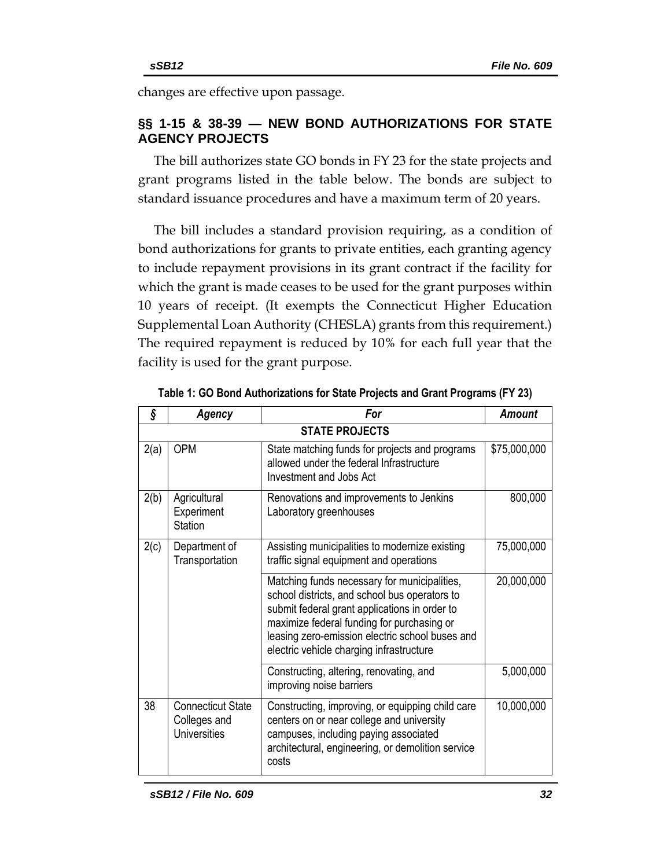changes are effective upon passage.

# **§§ 1-15 & 38-39 — NEW BOND AUTHORIZATIONS FOR STATE AGENCY PROJECTS**

The bill authorizes state GO bonds in FY 23 for the state projects and grant programs listed in the table below. The bonds are subject to standard issuance procedures and have a maximum term of 20 years.

The bill includes a standard provision requiring, as a condition of bond authorizations for grants to private entities, each granting agency to include repayment provisions in its grant contract if the facility for which the grant is made ceases to be used for the grant purposes within 10 years of receipt. (It exempts the Connecticut Higher Education Supplemental Loan Authority (CHESLA) grants from this requirement.) The required repayment is reduced by 10% for each full year that the facility is used for the grant purpose.

| ş    | Agency                                                          | For                                                                                                                                                                                                                                                                                         | <b>Amount</b> |  |
|------|-----------------------------------------------------------------|---------------------------------------------------------------------------------------------------------------------------------------------------------------------------------------------------------------------------------------------------------------------------------------------|---------------|--|
|      | <b>STATE PROJECTS</b>                                           |                                                                                                                                                                                                                                                                                             |               |  |
| 2(a) | <b>OPM</b>                                                      | State matching funds for projects and programs<br>allowed under the federal Infrastructure<br>Investment and Jobs Act                                                                                                                                                                       | \$75,000,000  |  |
| 2(b) | Agricultural<br>Experiment<br>Station                           | Renovations and improvements to Jenkins<br>Laboratory greenhouses                                                                                                                                                                                                                           | 800,000       |  |
| 2(c) | Department of<br>Transportation                                 | Assisting municipalities to modernize existing<br>traffic signal equipment and operations                                                                                                                                                                                                   | 75,000,000    |  |
|      |                                                                 | Matching funds necessary for municipalities,<br>school districts, and school bus operators to<br>submit federal grant applications in order to<br>maximize federal funding for purchasing or<br>leasing zero-emission electric school buses and<br>electric vehicle charging infrastructure | 20,000,000    |  |
|      |                                                                 | Constructing, altering, renovating, and<br>improving noise barriers                                                                                                                                                                                                                         | 5,000,000     |  |
| 38   | <b>Connecticut State</b><br>Colleges and<br><b>Universities</b> | Constructing, improving, or equipping child care<br>centers on or near college and university<br>campuses, including paying associated<br>architectural, engineering, or demolition service<br>costs                                                                                        | 10,000,000    |  |

**Table 1: GO Bond Authorizations for State Projects and Grant Programs (FY 23)**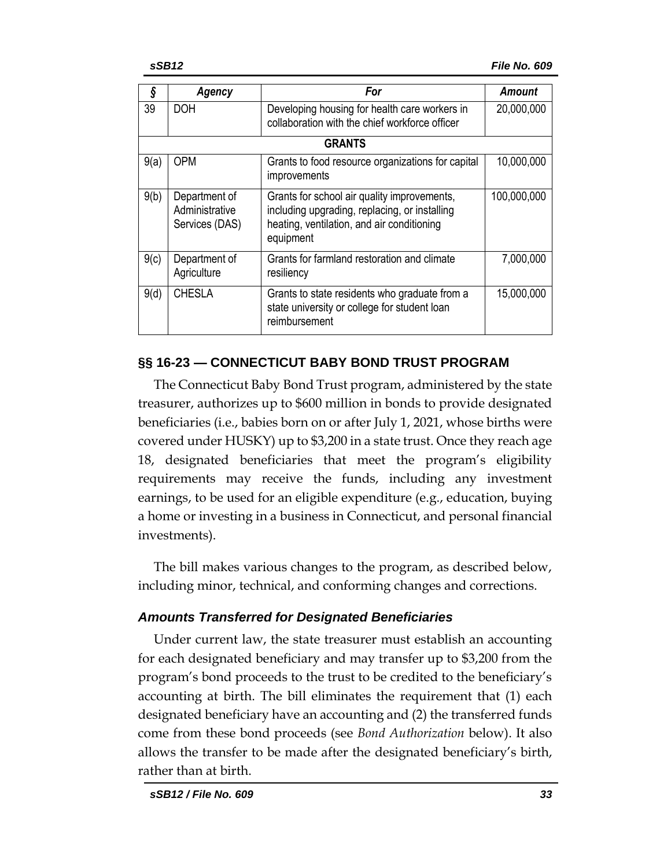| Ş             |                                                   | For<br>Agency                                                                                                                                           |             |  |  |
|---------------|---------------------------------------------------|---------------------------------------------------------------------------------------------------------------------------------------------------------|-------------|--|--|
| 39            | <b>DOH</b>                                        | Developing housing for health care workers in<br>collaboration with the chief workforce officer                                                         | 20,000,000  |  |  |
| <b>GRANTS</b> |                                                   |                                                                                                                                                         |             |  |  |
| 9(a)          | <b>OPM</b>                                        | Grants to food resource organizations for capital<br>improvements                                                                                       | 10,000,000  |  |  |
| 9(b)          | Department of<br>Administrative<br>Services (DAS) | Grants for school air quality improvements,<br>including upgrading, replacing, or installing<br>heating, ventilation, and air conditioning<br>equipment | 100,000,000 |  |  |
| 9(c)          | Department of<br>Agriculture                      | Grants for farmland restoration and climate<br>resiliency                                                                                               | 7,000,000   |  |  |
| 9(d)          | <b>CHESLA</b>                                     | Grants to state residents who graduate from a<br>state university or college for student loan<br>reimbursement                                          | 15,000,000  |  |  |

# **§§ 16-23 — CONNECTICUT BABY BOND TRUST PROGRAM**

The Connecticut Baby Bond Trust program, administered by the state treasurer, authorizes up to \$600 million in bonds to provide designated beneficiaries (i.e., babies born on or after July 1, 2021, whose births were covered under HUSKY) up to \$3,200 in a state trust. Once they reach age 18, designated beneficiaries that meet the program's eligibility requirements may receive the funds, including any investment earnings, to be used for an eligible expenditure (e.g., education, buying a home or investing in a business in Connecticut, and personal financial investments).

The bill makes various changes to the program, as described below, including minor, technical, and conforming changes and corrections.

# *Amounts Transferred for Designated Beneficiaries*

Under current law, the state treasurer must establish an accounting for each designated beneficiary and may transfer up to \$3,200 from the program's bond proceeds to the trust to be credited to the beneficiary's accounting at birth. The bill eliminates the requirement that (1) each designated beneficiary have an accounting and (2) the transferred funds come from these bond proceeds (see *Bond Authorization* below). It also allows the transfer to be made after the designated beneficiary's birth, rather than at birth.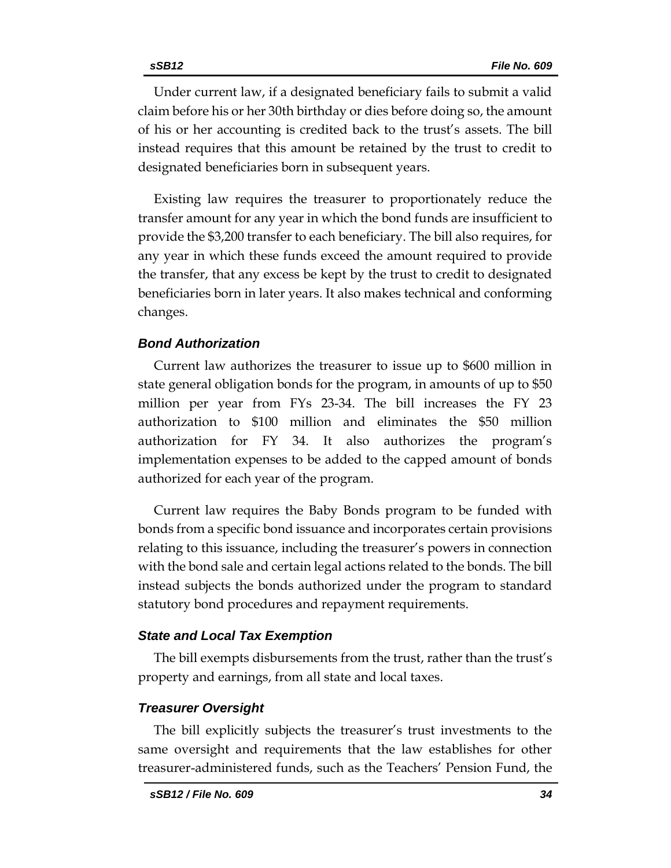Under current law, if a designated beneficiary fails to submit a valid claim before his or her 30th birthday or dies before doing so, the amount of his or her accounting is credited back to the trust's assets. The bill instead requires that this amount be retained by the trust to credit to designated beneficiaries born in subsequent years.

Existing law requires the treasurer to proportionately reduce the transfer amount for any year in which the bond funds are insufficient to provide the \$3,200 transfer to each beneficiary. The bill also requires, for any year in which these funds exceed the amount required to provide the transfer, that any excess be kept by the trust to credit to designated beneficiaries born in later years. It also makes technical and conforming changes.

#### *Bond Authorization*

Current law authorizes the treasurer to issue up to \$600 million in state general obligation bonds for the program, in amounts of up to \$50 million per year from FYs 23-34. The bill increases the FY 23 authorization to \$100 million and eliminates the \$50 million authorization for FY 34. It also authorizes the program's implementation expenses to be added to the capped amount of bonds authorized for each year of the program.

Current law requires the Baby Bonds program to be funded with bonds from a specific bond issuance and incorporates certain provisions relating to this issuance, including the treasurer's powers in connection with the bond sale and certain legal actions related to the bonds. The bill instead subjects the bonds authorized under the program to standard statutory bond procedures and repayment requirements.

#### *State and Local Tax Exemption*

The bill exempts disbursements from the trust, rather than the trust's property and earnings, from all state and local taxes.

#### *Treasurer Oversight*

The bill explicitly subjects the treasurer's trust investments to the same oversight and requirements that the law establishes for other treasurer-administered funds, such as the Teachers' Pension Fund, the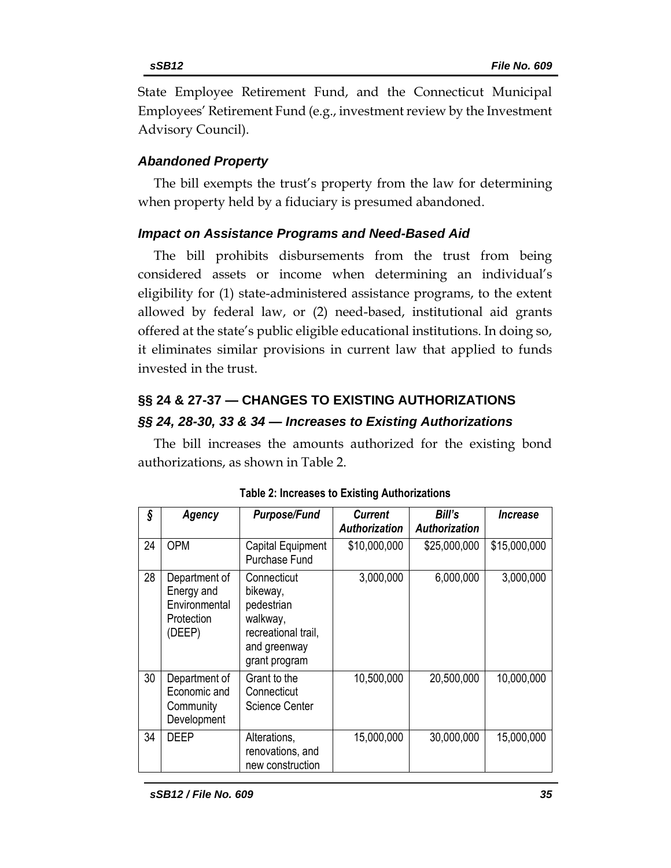State Employee Retirement Fund, and the Connecticut Municipal Employees' Retirement Fund (e.g., investment review by the Investment Advisory Council).

# *Abandoned Property*

The bill exempts the trust's property from the law for determining when property held by a fiduciary is presumed abandoned.

# *Impact on Assistance Programs and Need-Based Aid*

The bill prohibits disbursements from the trust from being considered assets or income when determining an individual's eligibility for (1) state-administered assistance programs, to the extent allowed by federal law, or (2) need-based, institutional aid grants offered at the state's public eligible educational institutions. In doing so, it eliminates similar provisions in current law that applied to funds invested in the trust.

# **§§ 24 & 27-37 — CHANGES TO EXISTING AUTHORIZATIONS**

# *§§ 24, 28-30, 33 & 34 — Increases to Existing Authorizations*

The bill increases the amounts authorized for the existing bond authorizations, as shown in Table 2.

| ş  | Agency                                                               | <b>Purpose/Fund</b>                                                                                       | <b>Current</b><br><b>Authorization</b> | Bill's<br><b>Authorization</b> | <i><u><b>Increase</b></u></i> |
|----|----------------------------------------------------------------------|-----------------------------------------------------------------------------------------------------------|----------------------------------------|--------------------------------|-------------------------------|
| 24 | <b>OPM</b>                                                           | Capital Equipment<br><b>Purchase Fund</b>                                                                 | \$10,000,000                           | \$25,000,000                   | \$15,000,000                  |
| 28 | Department of<br>Energy and<br>Environmental<br>Protection<br>(DEEP) | Connecticut<br>bikeway,<br>pedestrian<br>walkway,<br>recreational trail,<br>and greenway<br>grant program | 3,000,000                              | 6,000,000                      | 3,000,000                     |
| 30 | Department of<br>Economic and<br>Community<br>Development            | Grant to the<br>Connecticut<br><b>Science Center</b>                                                      | 10,500,000                             | 20,500,000                     | 10,000,000                    |
| 34 | <b>DEEP</b>                                                          | Alterations,<br>renovations, and<br>new construction                                                      | 15,000,000                             | 30,000,000                     | 15,000,000                    |

**Table 2: Increases to Existing Authorizations**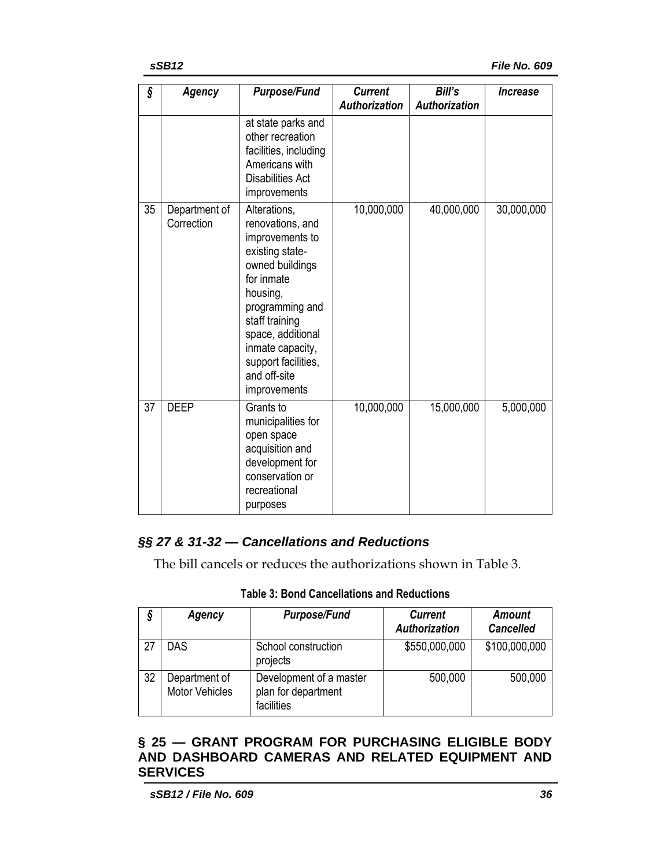| ş  | Agency                      | <b>Purpose/Fund</b>                                                                                                                                                                                                                                      | <b>Current</b><br><b>Authorization</b> | Bill's<br><b>Authorization</b> | <i><u><b>Increase</b></u></i> |
|----|-----------------------------|----------------------------------------------------------------------------------------------------------------------------------------------------------------------------------------------------------------------------------------------------------|----------------------------------------|--------------------------------|-------------------------------|
|    |                             | at state parks and<br>other recreation<br>facilities, including<br>Americans with<br><b>Disabilities Act</b><br>improvements                                                                                                                             |                                        |                                |                               |
| 35 | Department of<br>Correction | Alterations,<br>renovations, and<br>improvements to<br>existing state-<br>owned buildings<br>for inmate<br>housing,<br>programming and<br>staff training<br>space, additional<br>inmate capacity,<br>support facilities,<br>and off-site<br>improvements | 10,000,000                             | 40,000,000                     | 30,000,000                    |
| 37 | <b>DEEP</b>                 | Grants to<br>municipalities for<br>open space<br>acquisition and<br>development for<br>conservation or<br>recreational<br>purposes                                                                                                                       | 10,000,000                             | 15,000,000                     | 5,000,000                     |

### *§§ 27 & 31-32 — Cancellations and Reductions*

The bill cancels or reduces the authorizations shown in Table 3.

| ş  | Agency                                 | <b>Purpose/Fund</b>                                          | <b>Current</b><br><b>Authorization</b> | Amount<br><b>Cancelled</b> |
|----|----------------------------------------|--------------------------------------------------------------|----------------------------------------|----------------------------|
| 27 | <b>DAS</b>                             | School construction<br>projects                              | \$550,000,000                          | \$100,000,000              |
| 32 | Department of<br><b>Motor Vehicles</b> | Development of a master<br>plan for department<br>facilities | 500,000                                | 500,000                    |

**Table 3: Bond Cancellations and Reductions**

### **§ 25 — GRANT PROGRAM FOR PURCHASING ELIGIBLE BODY AND DASHBOARD CAMERAS AND RELATED EQUIPMENT AND SERVICES**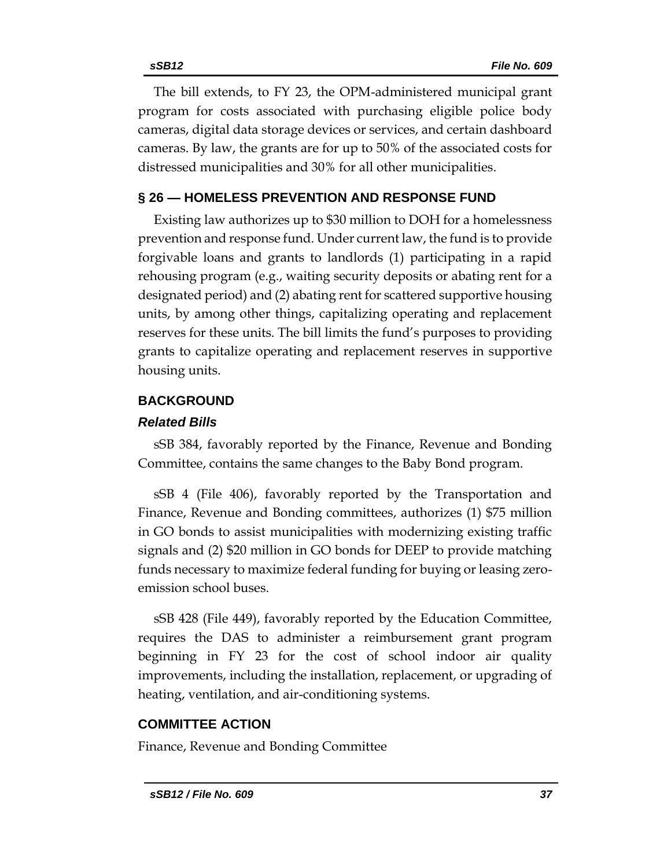The bill extends, to FY 23, the OPM-administered municipal grant program for costs associated with purchasing eligible police body cameras, digital data storage devices or services, and certain dashboard cameras. By law, the grants are for up to 50% of the associated costs for distressed municipalities and 30% for all other municipalities.

# **§ 26 — HOMELESS PREVENTION AND RESPONSE FUND**

Existing law authorizes up to \$30 million to DOH for a homelessness prevention and response fund. Under current law, the fund is to provide forgivable loans and grants to landlords (1) participating in a rapid rehousing program (e.g., waiting security deposits or abating rent for a designated period) and (2) abating rent for scattered supportive housing units, by among other things, capitalizing operating and replacement reserves for these units. The bill limits the fund's purposes to providing grants to capitalize operating and replacement reserves in supportive housing units.

# **BACKGROUND**

# *Related Bills*

sSB 384, favorably reported by the Finance, Revenue and Bonding Committee, contains the same changes to the Baby Bond program.

sSB 4 (File 406), favorably reported by the Transportation and Finance, Revenue and Bonding committees, authorizes (1) \$75 million in GO bonds to assist municipalities with modernizing existing traffic signals and (2) \$20 million in GO bonds for DEEP to provide matching funds necessary to maximize federal funding for buying or leasing zeroemission school buses.

sSB 428 (File 449), favorably reported by the Education Committee, requires the DAS to administer a reimbursement grant program beginning in FY 23 for the cost of school indoor air quality improvements, including the installation, replacement, or upgrading of heating, ventilation, and air-conditioning systems.

# **COMMITTEE ACTION**

Finance, Revenue and Bonding Committee